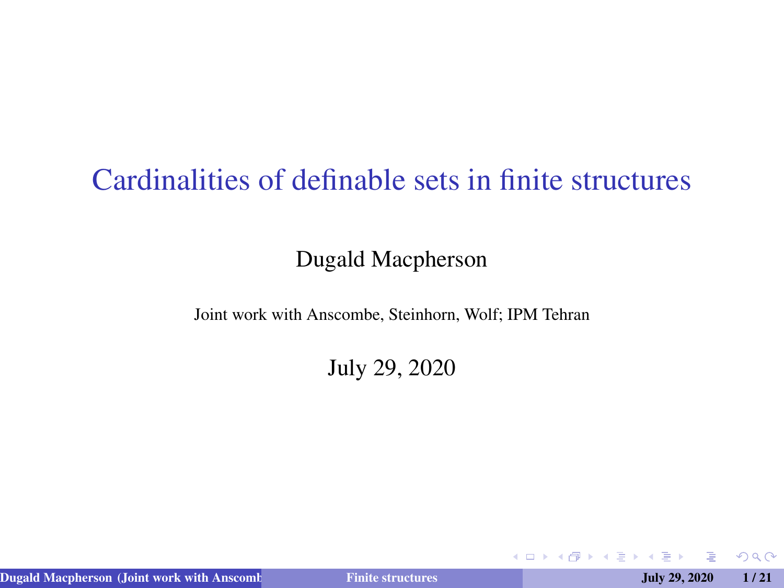### <span id="page-0-0"></span>Cardinalities of definable sets in finite structures

#### Dugald Macpherson

Joint work with Anscombe, Steinhorn, Wolf; IPM Tehran

July 29, 2020

Dugald Macpherson (Joint work with Anscombe, Steinhorn, Steinhorn, Wolff; IPM Tehranov, Steinhorn, Steinhorn, Wolff, IPM Tehranov, IPM Tehranov, IPM Tehranov, IPM Tehranov, IPM Tehranov, IPM Tehranov, IPM Tehranov, IPM Teh

 $2Q$ 

イロト イ伊ト イヨト イヨト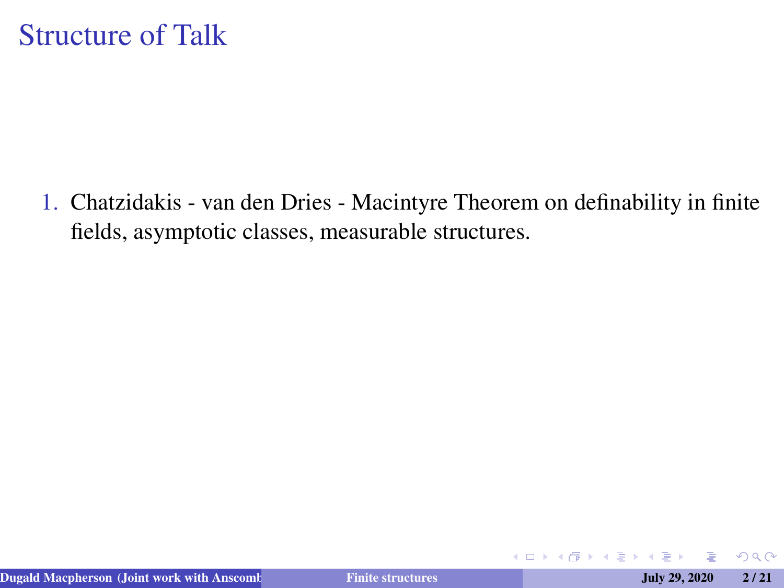1. Chatzidakis - van den Dries - Macintyre Theorem on definability in finite fields, asymptotic classes, measurable structures.

**K ロ ▶ K 伊** 

 $QQ$ 

医单子 化重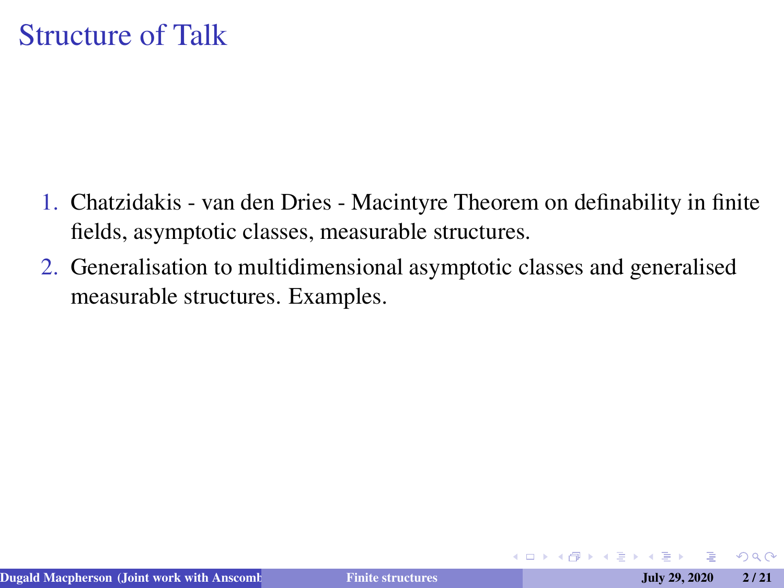- 1. Chatzidakis van den Dries Macintyre Theorem on definability in finite fields, asymptotic classes, measurable structures.
- 2. Generalisation to multidimensional asymptotic classes and generalised measurable structures. Examples.

 $2Q$ 

→ 重き → 重き

4 0 8 4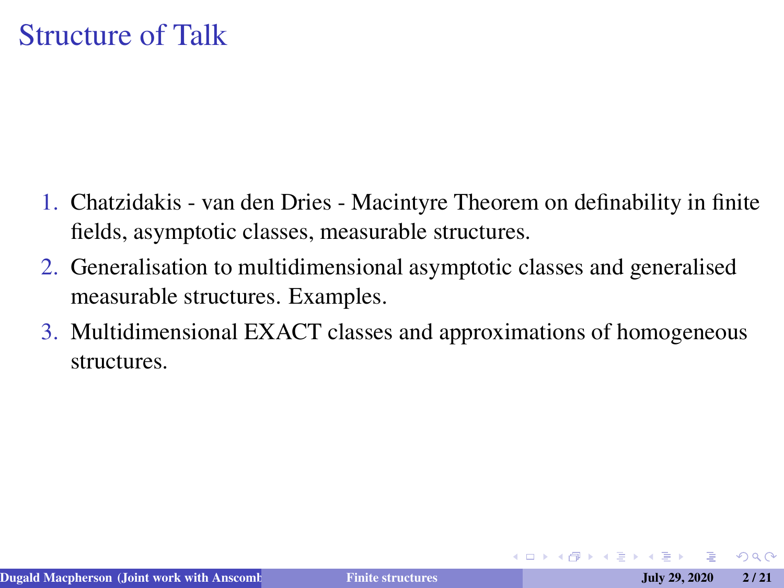- <span id="page-3-0"></span>1. Chatzidakis - van den Dries - Macintyre Theorem on definability in finite fields, asymptotic classes, measurable structures.
- 2. Generalisation to multidimensional asymptotic classes and generalised measurable structures. Examples.
- 3. Multidimensional EXACT classes and approximations of homogeneous structures.

つくい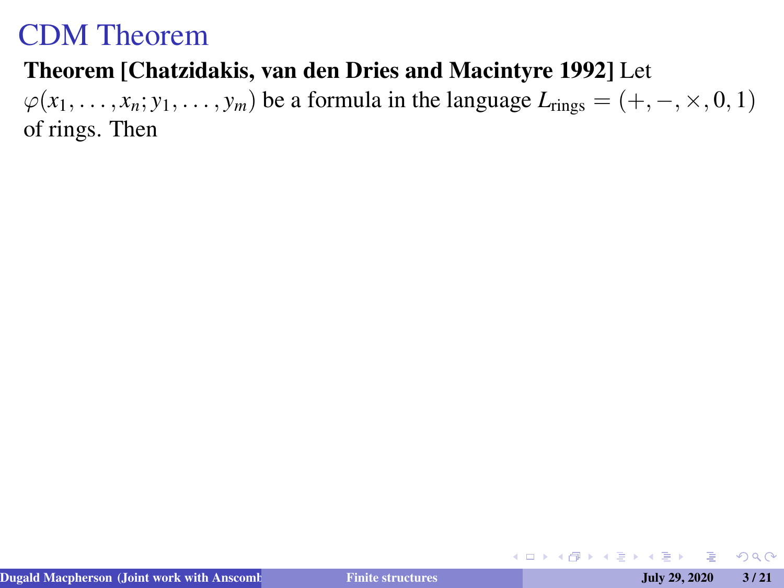#### <span id="page-4-0"></span>Theorem [Chatzidakis, van den Dries and Macintyre 1992] Let

 $\varphi(x_1, \ldots, x_n; y_1, \ldots, y_m)$  be a formula in the language  $L_{\text{rings}} = (+, -, \times, 0, 1)$ of rings. Then

 $QQ$ 

イロトス 伊 トスラ トスラ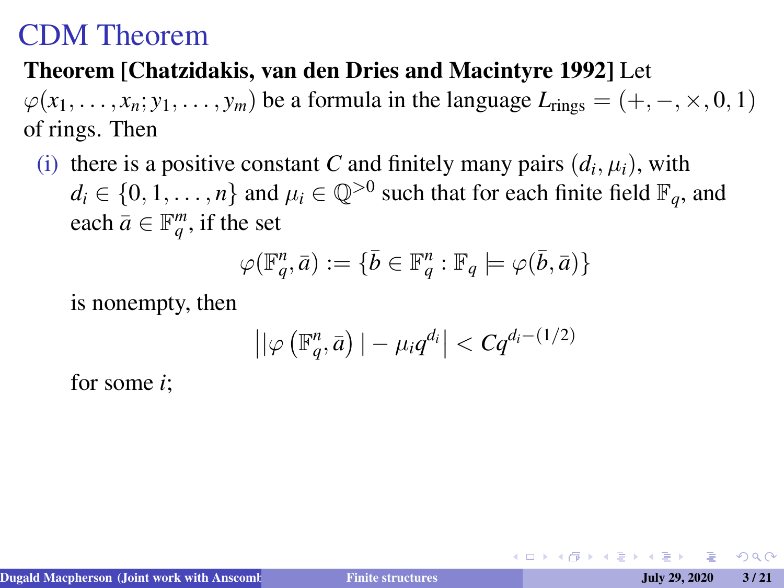#### Theorem [Chatzidakis, van den Dries and Macintyre 1992] Let

 $\varphi(x_1, \ldots, x_n; y_1, \ldots, y_m)$  be a formula in the language  $L_{\text{rings}} = (+, -, \times, 0, 1)$ of rings. Then

(i) there is a positive constant *C* and finitely many pairs  $(d_i, \mu_i)$ , with  $d_i \in \{0, 1, \dots, n\}$  and  $\mu_i \in \mathbb{Q}^{>0}$  such that for each finite field  $\mathbb{F}_q$ , and each  $\bar{a} \in \mathbb{F}_q^m$ , if the set

$$
\varphi(\mathbb{F}_q^n,\bar{a}):=\{\bar{b}\in\mathbb{F}_q^n:\mathbb{F}_q\models\varphi(\bar{b},\bar{a})\}
$$

is nonempty, then

$$
\left| |\varphi\left(\mathbb{F}_q^n,\bar{a}\right)| - \mu_i q^{d_i} \right| < C q^{d_i - (1/2)}
$$

for some *i*;

 $\Omega$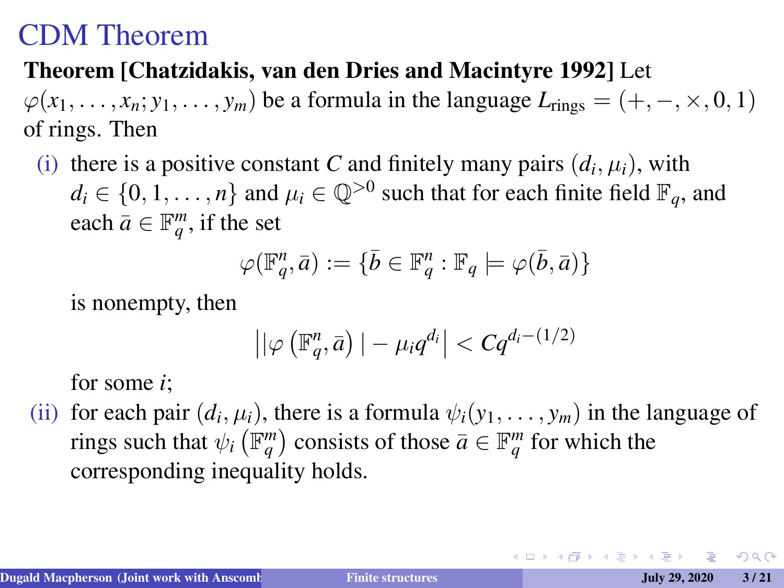#### <span id="page-6-0"></span>Theorem [Chatzidakis, van den Dries and Macintyre 1992] Let

 $\varphi(x_1, \ldots, x_n; y_1, \ldots, y_m)$  be a formula in the language  $L_{\text{rings}} = (+, -, \times, 0, 1)$ of rings. Then

(i) there is a positive constant *C* and finitely many pairs  $(d_i, \mu_i)$ , with  $d_i \in \{0, 1, \dots, n\}$  and  $\mu_i \in \mathbb{Q}^{>0}$  such that for each finite field  $\mathbb{F}_q$ , and each  $\bar{a} \in \mathbb{F}_q^m$ , if the set

$$
\varphi(\mathbb{F}_q^n,\bar{a}):=\{\bar{b}\in\mathbb{F}_q^n:\mathbb{F}_q\models\varphi(\bar{b},\bar{a})\}
$$

is nonempty, then

$$
\left| |\varphi\left(\mathbb{F}_q^n,\bar{a}\right)| - \mu_i q^{d_i} \right| < C q^{d_i - (1/2)}
$$

for some *i*;

(ii) for each pair  $(d_i, \mu_i)$ , there is a formula  $\psi_i(y_1, \ldots, y_m)$  in the language of rings such that  $\psi_i \left( \mathbb{F}_q^m \right)$  consists of those  $\bar{a} \in \mathbb{F}_q^m$  for which the corresponding inequality holds.

 $2990$ 

イロメイ部メイ君メイ君メー 君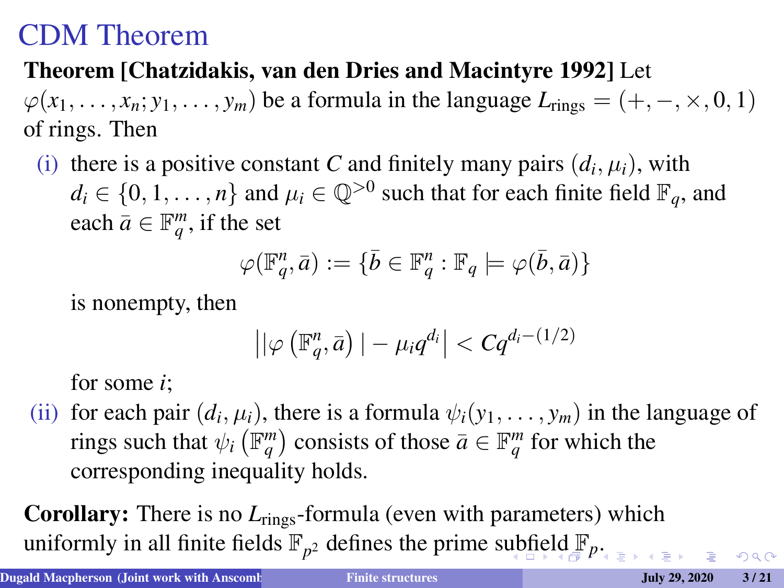#### <span id="page-7-0"></span>Theorem [Chatzidakis, van den Dries and Macintyre 1992] Let

 $\varphi(x_1, \ldots, x_n; y_1, \ldots, y_m)$  be a formula in the language  $L_{\text{rings}} = (+, -, \times, 0, 1)$ of rings. Then

(i) there is a positive constant *C* and finitely many pairs  $(d_i, \mu_i)$ , with  $d_i \in \{0, 1, \dots, n\}$  and  $\mu_i \in \mathbb{Q}^{>0}$  such that for each finite field  $\mathbb{F}_q$ , and each  $\bar{a} \in \mathbb{F}_q^m$ , if the set

$$
\varphi(\mathbb{F}_q^n,\bar{a}):=\{\bar{b}\in\mathbb{F}_q^n:\mathbb{F}_q\models\varphi(\bar{b},\bar{a})\}
$$

is nonempty, then

$$
\left| |\varphi\left(\mathbb{F}_q^n,\bar{a}\right)| - \mu_i q^{d_i} \right| < C q^{d_i - (1/2)}
$$

for some *i*;

(ii) for each pair  $(d_i, \mu_i)$ , there is a formula  $\psi_i(y_1, \ldots, y_m)$  in the language of rings such that  $\psi_i \left( \mathbb{F}_q^m \right)$  consists of those  $\bar{a} \in \mathbb{F}_q^m$  for which the corresponding inequality holds.

Corollary: There is no *L*<sub>rings</sub>-formula (even with parameters) which uniformly in all finite [fie](#page-8-0)[ld](#page-3-0)s  $\mathbb{F}_{p^2}$  $\mathbb{F}_{p^2}$  $\mathbb{F}_{p^2}$  $\mathbb{F}_{p^2}$  $\mathbb{F}_{p^2}$  defines the prime s[ub](#page-6-0)field  $\mathbb{F}_p$ [.](#page-0-0)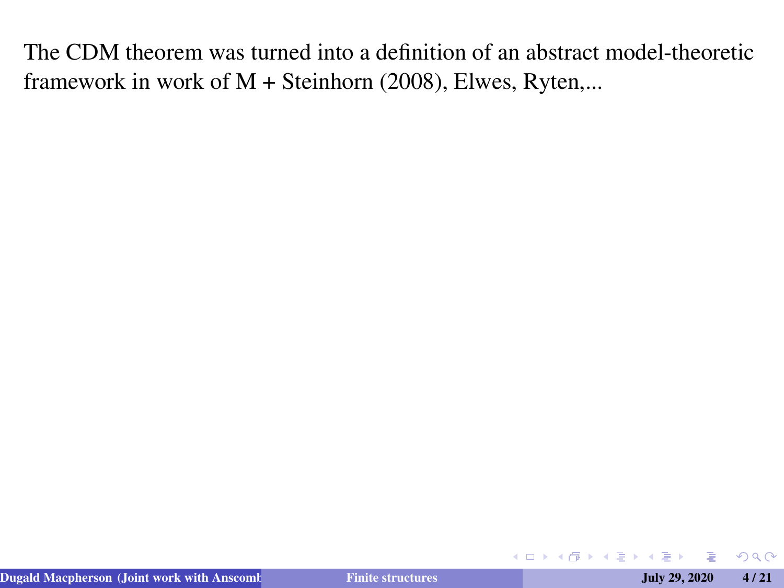$2Q$ 

<span id="page-8-0"></span>イロトス 伊 トスラ トス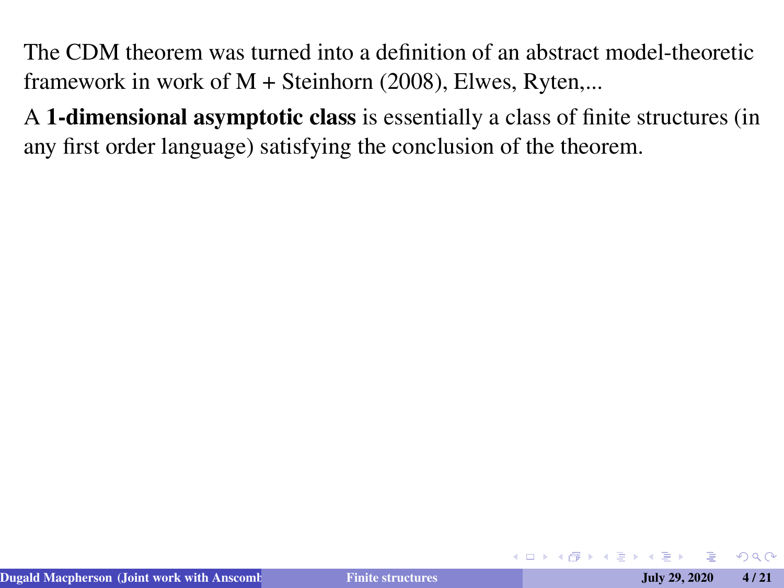A 1-dimensional asymptotic class is essentially a class of finite structures (in any first order language) satisfying the conclusion of the theorem.

**◆ ロ ▶ → 伊** 

 $\Omega$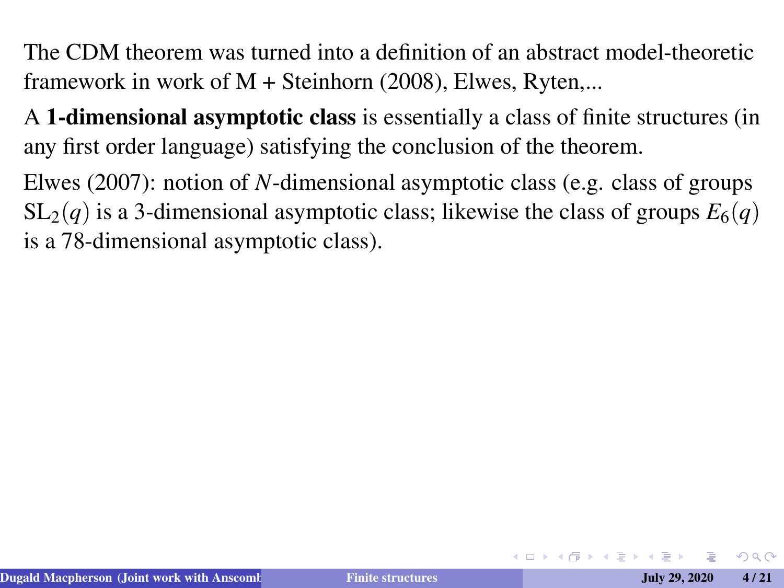A 1-dimensional asymptotic class is essentially a class of finite structures (in any first order language) satisfying the conclusion of the theorem.

Elwes (2007): notion of *N*-dimensional asymptotic class (e.g. class of groups  $SL_2(q)$  is a 3-dimensional asymptotic class; likewise the class of groups  $E_6(q)$ is a 78-dimensional asymptotic class).

 $\Omega$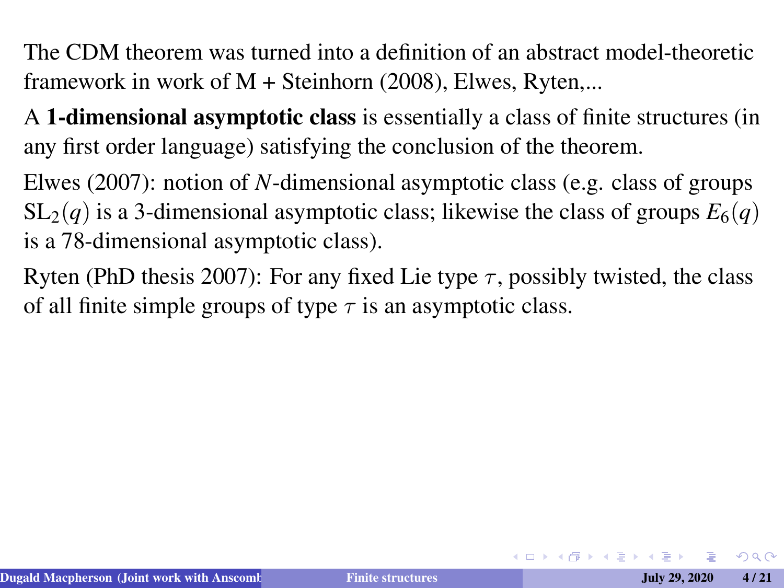A 1-dimensional asymptotic class is essentially a class of finite structures (in any first order language) satisfying the conclusion of the theorem.

Elwes (2007): notion of *N*-dimensional asymptotic class (e.g. class of groups  $SL_2(q)$  is a 3-dimensional asymptotic class; likewise the class of groups  $E_6(q)$ is a 78-dimensional asymptotic class).

Ryten (PhD thesis 2007): For any fixed Lie type  $\tau$ , possibly twisted, the class of all finite simple groups of type  $\tau$  is an asymptotic class.

 $\Omega$ 

イロト (何) イヨト (ヨ)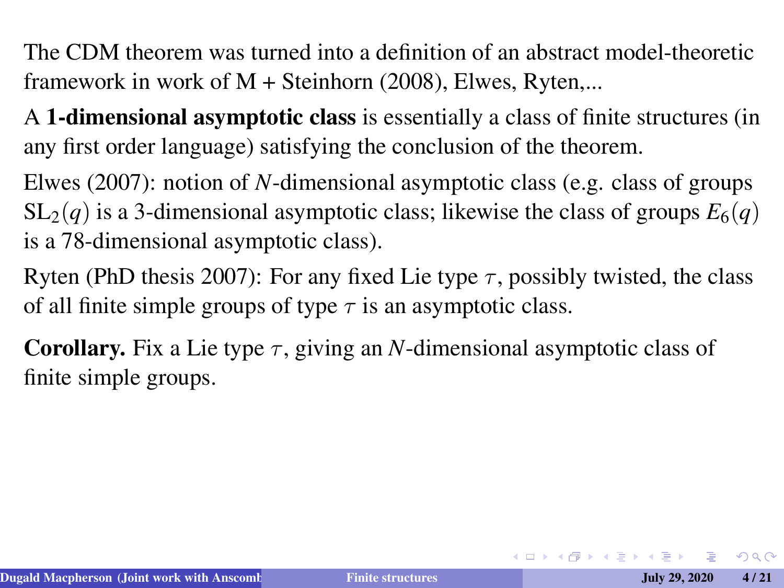A 1-dimensional asymptotic class is essentially a class of finite structures (in any first order language) satisfying the conclusion of the theorem.

Elwes (2007): notion of *N*-dimensional asymptotic class (e.g. class of groups  $SL_2(q)$  is a 3-dimensional asymptotic class; likewise the class of groups  $E_6(q)$ is a 78-dimensional asymptotic class).

Ryten (PhD thesis 2007): For any fixed Lie type  $\tau$ , possibly twisted, the class of all finite simple groups of type  $\tau$  is an asymptotic class.

**Corollary.** Fix a Lie type  $\tau$ , giving an *N*-dimensional asymptotic class of finite simple groups.

 $QQ$ 

イロンス 御い スミンス ミンニ き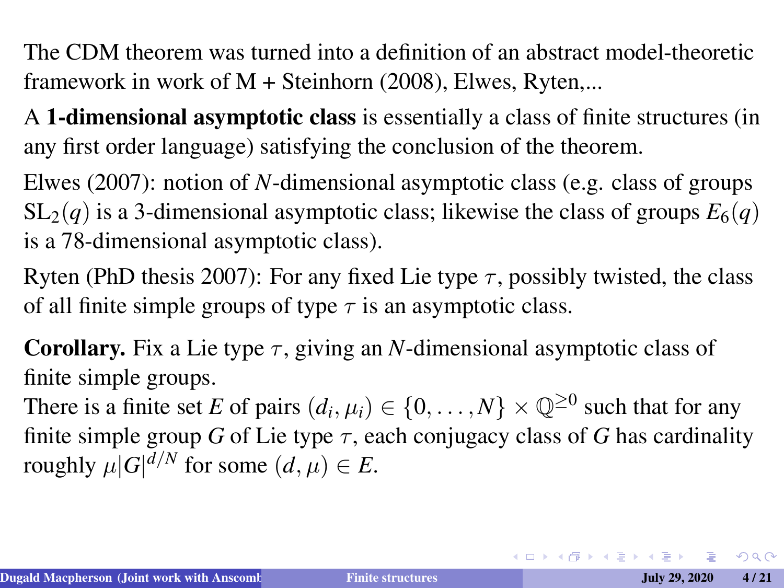A 1-dimensional asymptotic class is essentially a class of finite structures (in any first order language) satisfying the conclusion of the theorem.

Elwes (2007): notion of *N*-dimensional asymptotic class (e.g. class of groups  $SL_2(q)$  is a 3-dimensional asymptotic class; likewise the class of groups  $E_6(q)$ is a 78-dimensional asymptotic class).

Ryten (PhD thesis 2007): For any fixed Lie type  $\tau$ , possibly twisted, the class of all finite simple groups of type  $\tau$  is an asymptotic class.

**Corollary.** Fix a Lie type  $\tau$ , giving an *N*-dimensional asymptotic class of finite simple groups.

There is a finite set *E* of pairs  $(d_i, \mu_i) \in \{0, ..., N\} \times \mathbb{Q}^{\geq 0}$  such that for any finite simple group *G* of Lie type  $\tau$ , each conjugacy class of *G* has cardinality roughly  $\mu|G|^{d/N}$  for some  $(d, \mu) \in E$ .

 $QQ$ 

 $\mathbf{A} \equiv \mathbf{A} + \mathbf{A} + \mathbf{B} + \mathbf{A} + \mathbf{B} + \mathbf{A} + \mathbf{B} + \mathbf{A} + \mathbf{B} + \mathbf{A} + \mathbf{B} + \mathbf{A} + \mathbf{B} + \mathbf{A} + \mathbf{B} + \mathbf{A} + \mathbf{B} + \mathbf{A} + \mathbf{B} + \mathbf{A} + \mathbf{B} + \mathbf{A} + \mathbf{B} + \mathbf{A} + \mathbf{B} + \mathbf{A} + \mathbf{B} + \mathbf{A} + \mathbf{B} + \mathbf{A} + \math$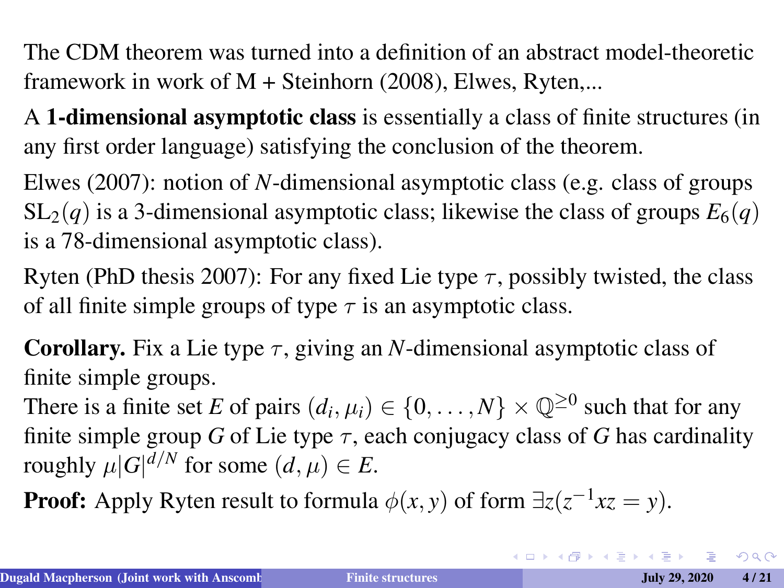A 1-dimensional asymptotic class is essentially a class of finite structures (in any first order language) satisfying the conclusion of the theorem.

Elwes (2007): notion of *N*-dimensional asymptotic class (e.g. class of groups  $SL_2(q)$  is a 3-dimensional asymptotic class; likewise the class of groups  $E_6(q)$ is a 78-dimensional asymptotic class).

Ryten (PhD thesis 2007): For any fixed Lie type  $\tau$ , possibly twisted, the class of all finite simple groups of type  $\tau$  is an asymptotic class.

**Corollary.** Fix a Lie type  $\tau$ , giving an *N*-dimensional asymptotic class of finite simple groups.

There is a finite set *E* of pairs  $(d_i, \mu_i) \in \{0, ..., N\} \times \mathbb{Q}^{\geq 0}$  such that for any finite simple group *G* of Lie type  $\tau$ , each conjugacy class of *G* has cardinality roughly  $\mu|G|^{d/N}$  for some  $(d, \mu) \in E$ .

**Proof:** Apply Ryten result to formula  $\phi(x, y)$  of form  $\exists z (z^{-1}xz = y)$ .

 $QQ$ 

 $\mathbf{A} \equiv \mathbf{A} + \mathbf{A} + \mathbf{B} + \mathbf{A} + \mathbf{B} + \mathbf{A} + \mathbf{B} + \mathbf{A} + \mathbf{B} + \mathbf{A} + \mathbf{B} + \mathbf{A} + \mathbf{B} + \mathbf{A} + \mathbf{B} + \mathbf{A} + \mathbf{B} + \mathbf{A} + \mathbf{B} + \mathbf{A} + \mathbf{B} + \mathbf{A} + \mathbf{B} + \mathbf{A} + \mathbf{B} + \mathbf{A} + \mathbf{B} + \mathbf{A} + \mathbf{B} + \mathbf{A} + \math$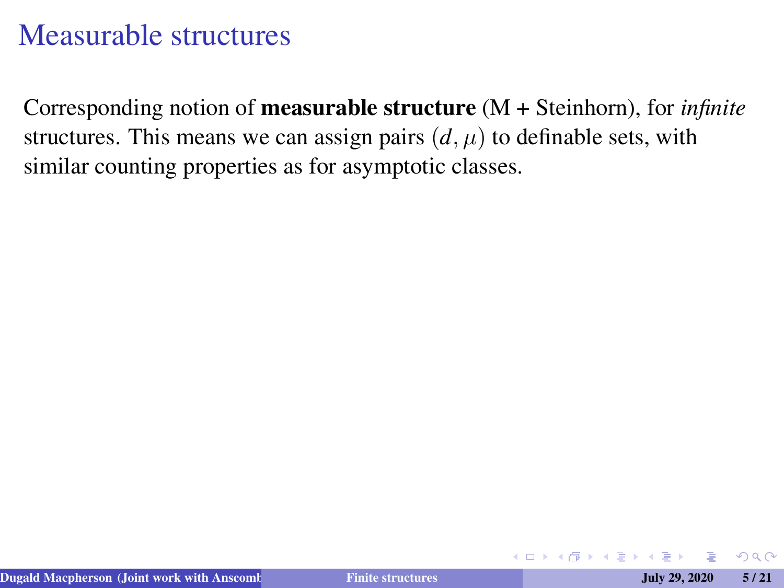Corresponding notion of measurable structure (M + Steinhorn), for *infinite* structures. This means we can assign pairs  $(d, \mu)$  to definable sets, with similar counting properties as for asymptotic classes.

**∢ ロ ▶ ィ 何** 

つくい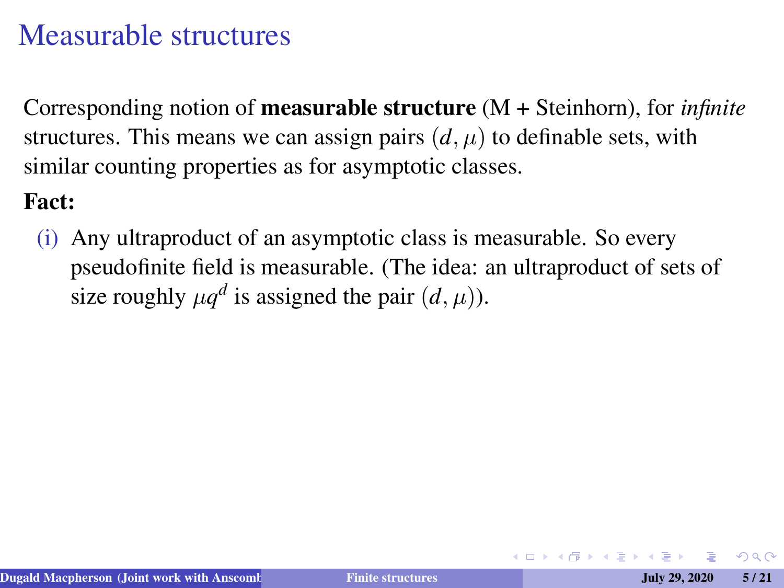Corresponding notion of measurable structure (M + Steinhorn), for *infinite* structures. This means we can assign pairs  $(d, \mu)$  to definable sets, with similar counting properties as for asymptotic classes.

#### Fact:

(i) Any ultraproduct of an asymptotic class is measurable. So every pseudofinite field is measurable. (The idea: an ultraproduct of sets of size roughly  $\mu q^d$  is assigned the pair  $(d, \mu)$ ).

 $\Omega$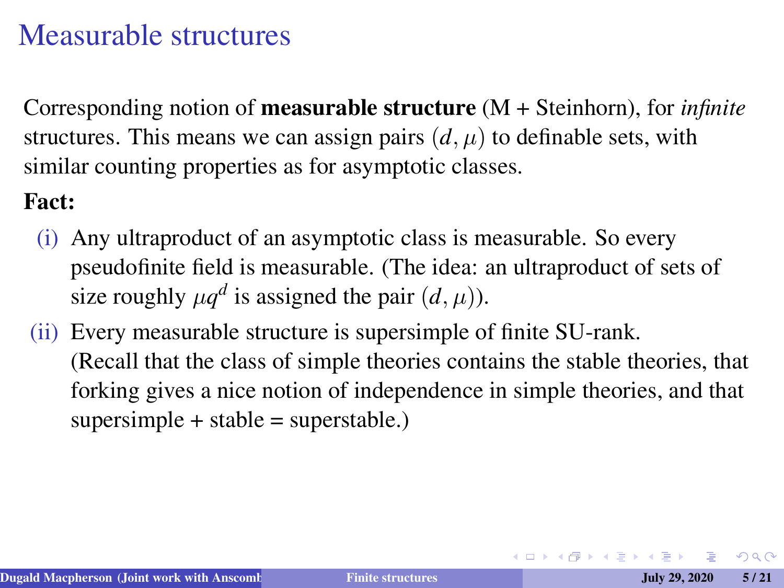Corresponding notion of measurable structure (M + Steinhorn), for *infinite* structures. This means we can assign pairs  $(d, \mu)$  to definable sets, with similar counting properties as for asymptotic classes.

#### Fact:

- (i) Any ultraproduct of an asymptotic class is measurable. So every pseudofinite field is measurable. (The idea: an ultraproduct of sets of size roughly  $\mu q^d$  is assigned the pair  $(d, \mu)$ ).
- (ii) Every measurable structure is supersimple of finite SU-rank. (Recall that the class of simple theories contains the stable theories, that forking gives a nice notion of independence in simple theories, and that  $supersimple + stable = superstable.$

 $2Q$ 

イロト (何) イヨト (ヨ)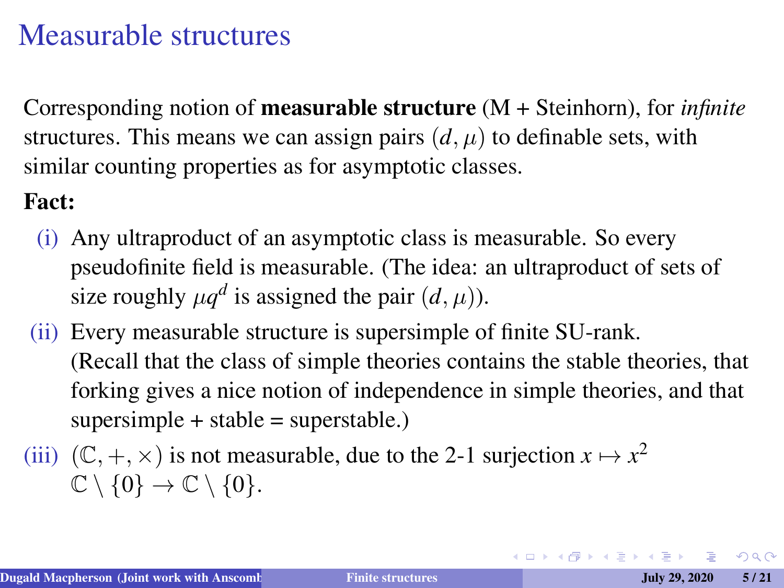Corresponding notion of measurable structure (M + Steinhorn), for *infinite* structures. This means we can assign pairs  $(d, \mu)$  to definable sets, with similar counting properties as for asymptotic classes.

#### Fact:

- (i) Any ultraproduct of an asymptotic class is measurable. So every pseudofinite field is measurable. (The idea: an ultraproduct of sets of size roughly  $\mu q^d$  is assigned the pair  $(d, \mu)$ ).
- (ii) Every measurable structure is supersimple of finite SU-rank. (Recall that the class of simple theories contains the stable theories, that forking gives a nice notion of independence in simple theories, and that  $supersimple + stable = superstable.$
- (iii)  $(\mathbb{C}, +, \times)$  is not measurable, due to the 2-1 surjection  $x \mapsto x^2$  $\mathbb{C} \setminus \{0\} \to \mathbb{C} \setminus \{0\}.$

 $2Q$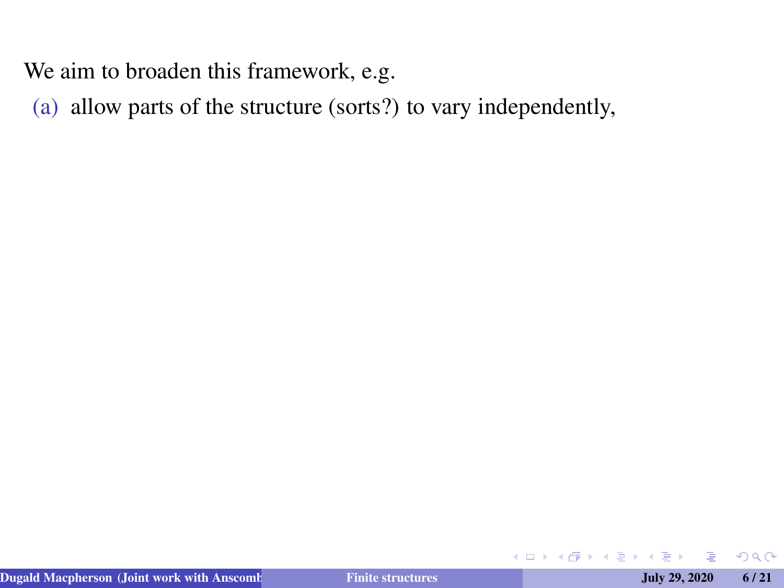(a) allow parts of the structure (sorts?) to vary independently,

 $QQ$ 

**← ロ → → 伊** 

医间面的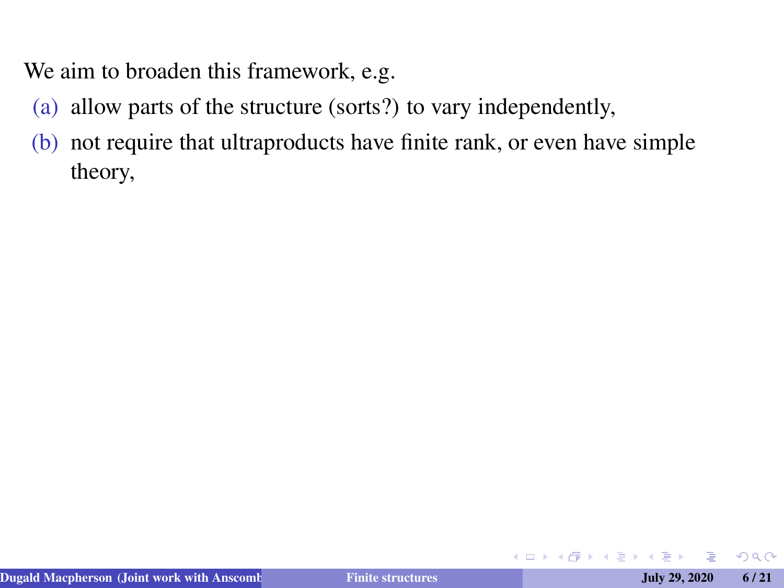- (a) allow parts of the structure (sorts?) to vary independently,
- (b) not require that ultraproducts have finite rank, or even have simple theory,

4 口 ) 4 伺

→ 画 →

 $2Q$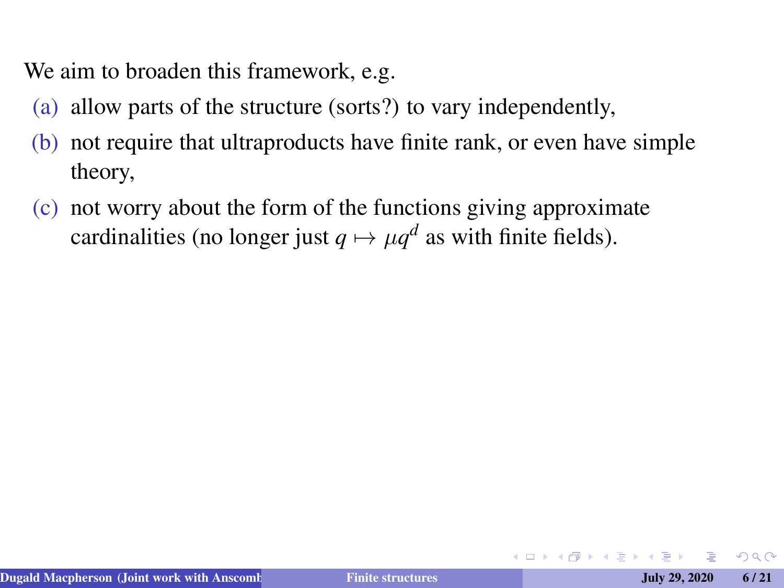- (a) allow parts of the structure (sorts?) to vary independently,
- (b) not require that ultraproducts have finite rank, or even have simple theory,
- (c) not worry about the form of the functions giving approximate cardinalities (no longer just  $q \mapsto \mu q^d$  as with finite fields).

 $\Omega$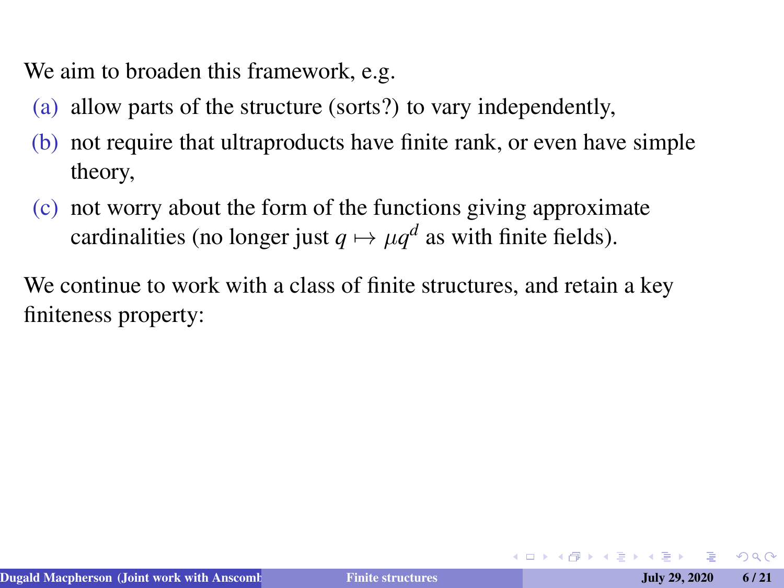- (a) allow parts of the structure (sorts?) to vary independently,
- (b) not require that ultraproducts have finite rank, or even have simple theory,
- (c) not worry about the form of the functions giving approximate cardinalities (no longer just  $q \mapsto \mu q^d$  as with finite fields).

We continue to work with a class of finite structures, and retain a key finiteness property:

 $\Omega$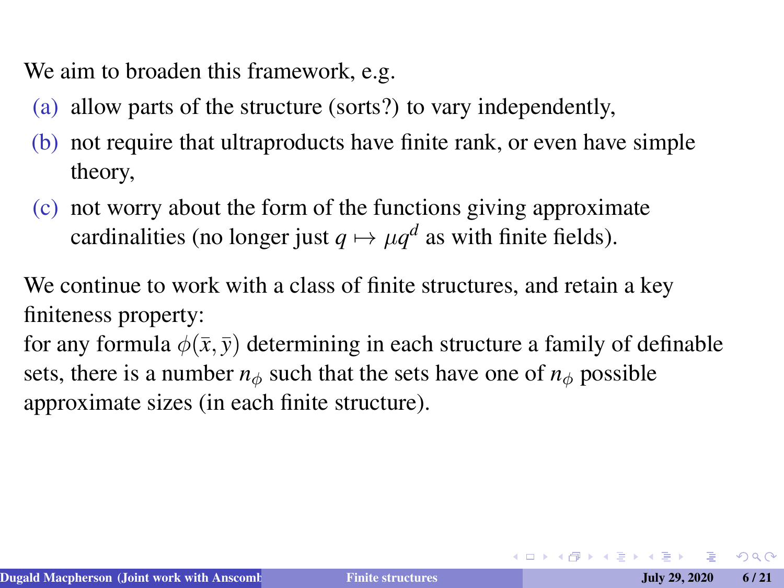- (a) allow parts of the structure (sorts?) to vary independently,
- (b) not require that ultraproducts have finite rank, or even have simple theory,
- (c) not worry about the form of the functions giving approximate cardinalities (no longer just  $q \mapsto \mu q^d$  as with finite fields).

We continue to work with a class of finite structures, and retain a key finiteness property:

for any formula  $\phi(\bar{x}, \bar{y})$  determining in each structure a family of definable sets, there is a number  $n_{\phi}$  such that the sets have one of  $n_{\phi}$  possible approximate sizes (in each finite structure).

 $2Q$ 

イロメイタメイミメイミメーミ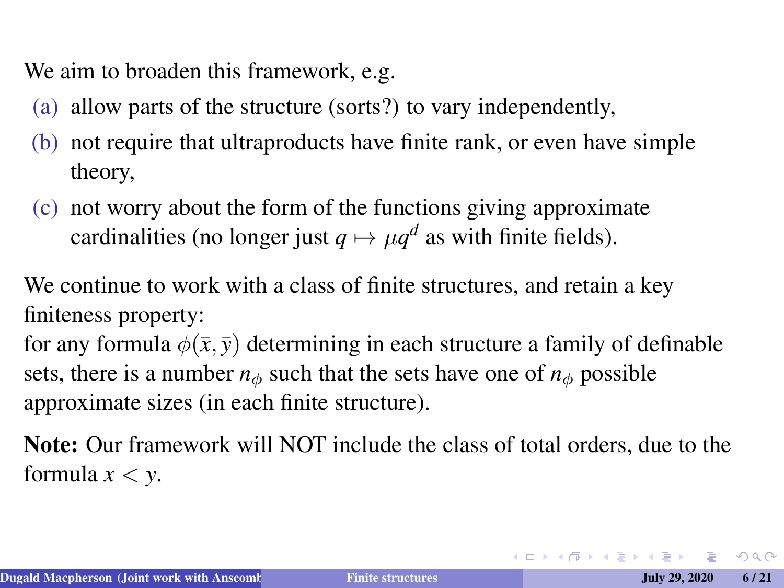- (a) allow parts of the structure (sorts?) to vary independently,
- (b) not require that ultraproducts have finite rank, or even have simple theory,
- (c) not worry about the form of the functions giving approximate cardinalities (no longer just  $q \mapsto \mu q^d$  as with finite fields).

We continue to work with a class of finite structures, and retain a key finiteness property:

for any formula  $\phi(\bar{x}, \bar{y})$  determining in each structure a family of definable sets, there is a number  $n_{\phi}$  such that the sets have one of  $n_{\phi}$  possible approximate sizes (in each finite structure).

Note: Our framework will NOT include the class of total orders, due to the formula  $x < y$ .

 $QQ$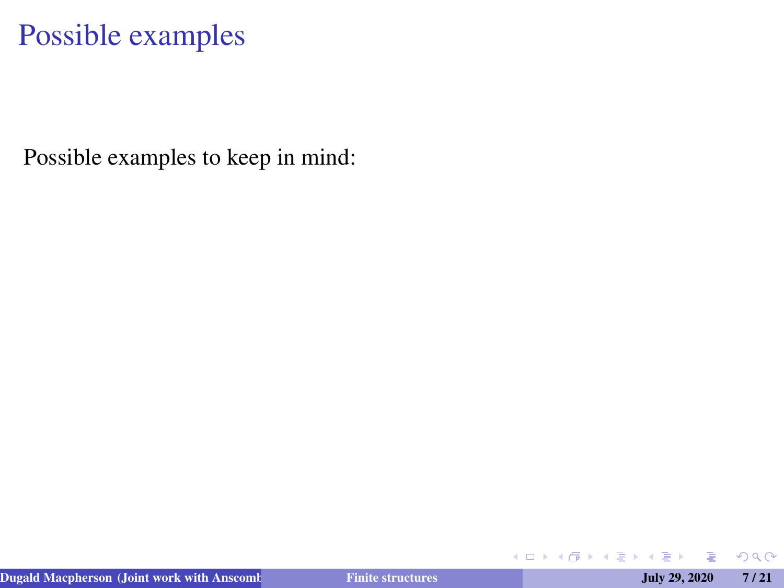Possible examples to keep in mind:

◆ ロ ▶ ◆ 母

医间面的

 $299$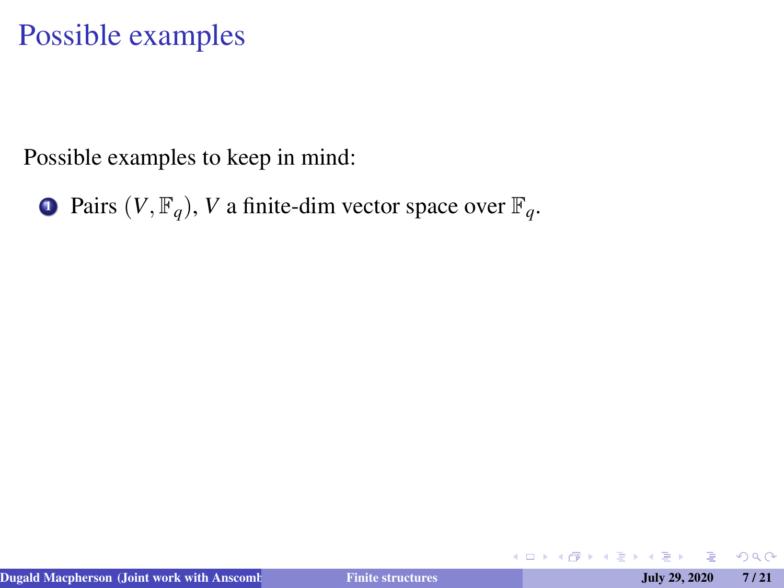Possible examples to keep in mind:

**1** Pairs  $(V, \mathbb{F}_q)$ , *V* a finite-dim vector space over  $\mathbb{F}_q$ .

**K ロ ▶ K 伊** 

 $\rightarrow$   $\equiv$   $\rightarrow$   $\rightarrow$ 

 $QQ$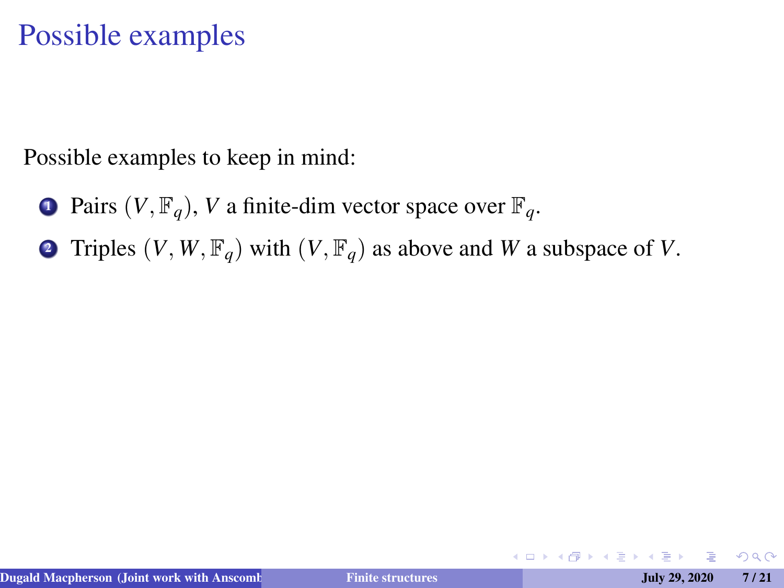Possible examples to keep in mind:

- **1** Pairs  $(V, \mathbb{F}_q)$ , *V* a finite-dim vector space over  $\mathbb{F}_q$ .
- **2** Triples  $(V, W, \mathbb{F}_q)$  with  $(V, \mathbb{F}_q)$  as above and *W* a subspace of *V*.

4 口 ▶ 4 何

 $2Q$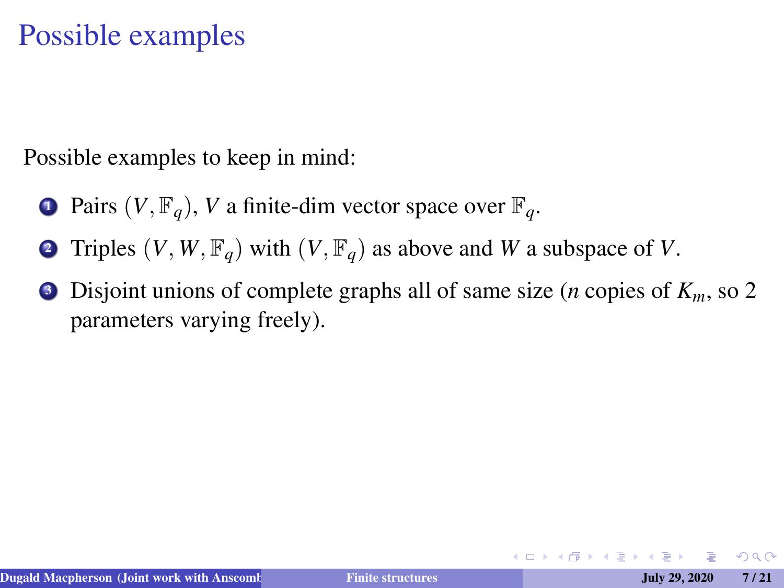Possible examples to keep in mind:

- **1** Pairs  $(V, \mathbb{F}_q)$ , *V* a finite-dim vector space over  $\mathbb{F}_q$ .
- **2** Triples  $(V, W, \mathbb{F}_q)$  with  $(V, \mathbb{F}_q)$  as above and *W* a subspace of *V*.
- <sup>3</sup> Disjoint unions of complete graphs all of same size (*n* copies of *Km*, so 2 parameters varying freely).

つくい

医头唇的头唇的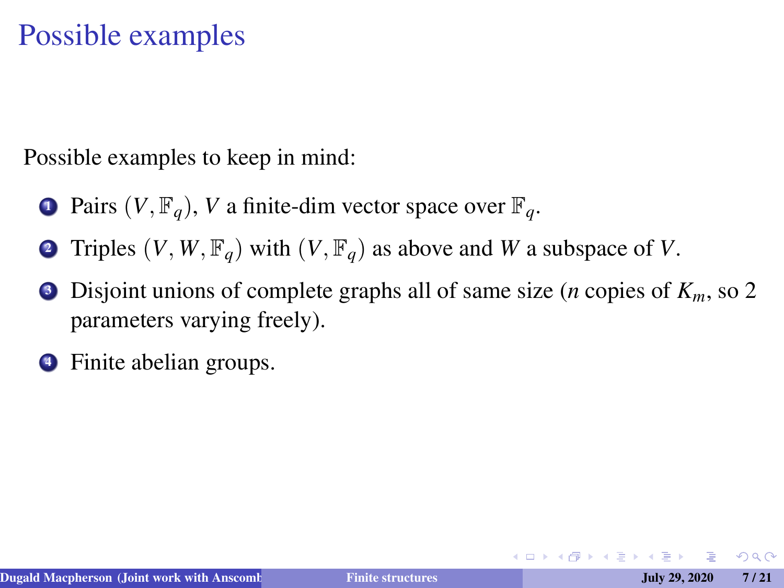Possible examples to keep in mind:

- **1** Pairs  $(V, \mathbb{F}_q)$ , *V* a finite-dim vector space over  $\mathbb{F}_q$ .
- **2** Triples  $(V, W, \mathbb{F}_q)$  with  $(V, \mathbb{F}_q)$  as above and *W* a subspace of *V*.
- <sup>3</sup> Disjoint unions of complete graphs all of same size (*n* copies of *Km*, so 2 parameters varying freely).
- Finite abelian groups.

トイラトイラト

 $QQ$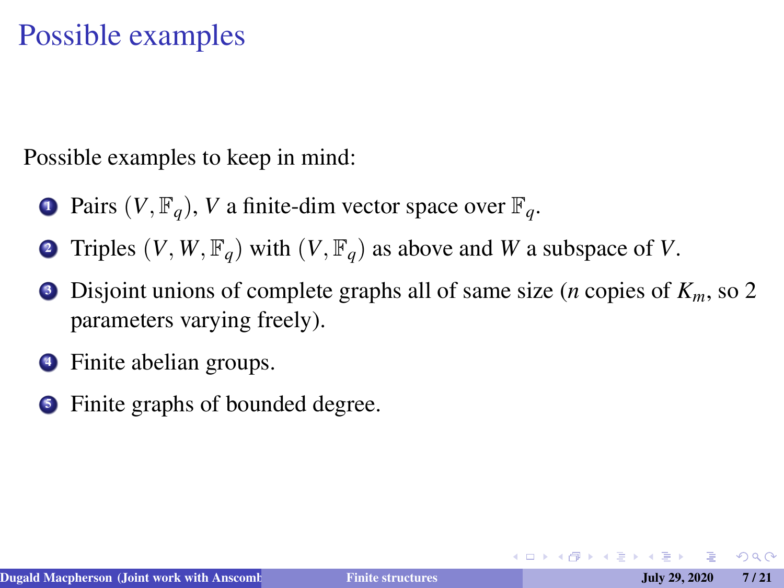Possible examples to keep in mind:

- **1** Pairs  $(V, \mathbb{F}_q)$ , *V* a finite-dim vector space over  $\mathbb{F}_q$ .
- **2** Triples  $(V, W, \mathbb{F}_q)$  with  $(V, \mathbb{F}_q)$  as above and *W* a subspace of *V*.
- <sup>3</sup> Disjoint unions of complete graphs all of same size (*n* copies of *Km*, so 2 parameters varying freely).
- Finite abelian groups.
- Finite graphs of bounded degree.

トイラトイラト

 $2Q$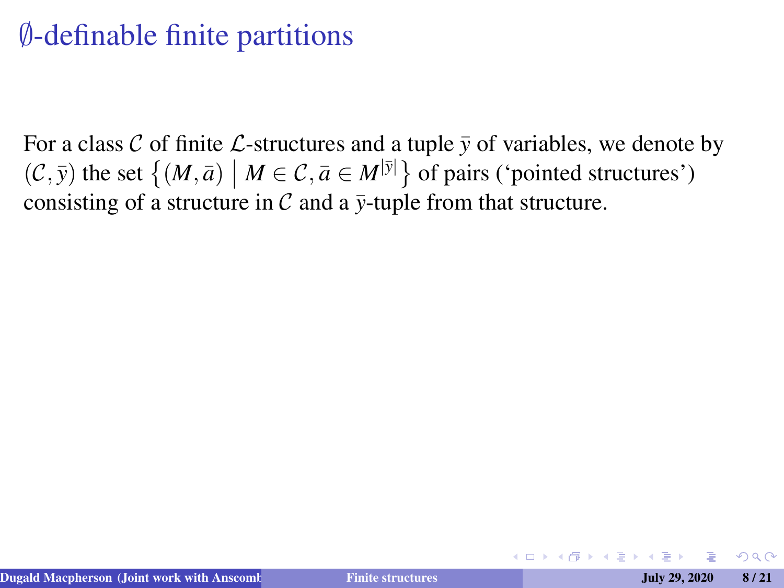# ∅-definable finite partitions

For a class C of finite L-structures and a tuple  $\bar{y}$  of variables, we denote by  $(C, \bar{y})$  the set  $\{(M, \bar{a}) \mid M \in C, \bar{a} \in M^{|\bar{y}|}\}$  of pairs ('pointed structures') consisting of a structure in  $\mathcal C$  and a  $\bar{\nu}$ -tuple from that structure.

 $\Omega$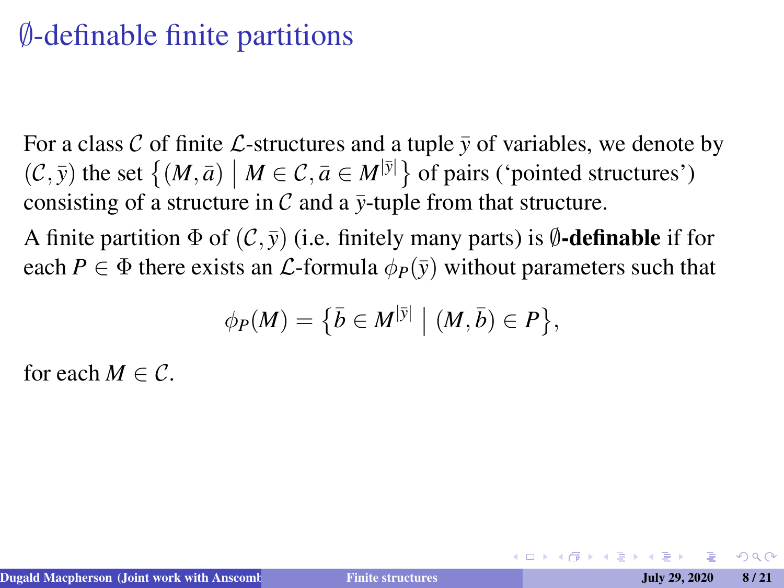### ∅-definable finite partitions

For a class C of finite L-structures and a tuple  $\bar{y}$  of variables, we denote by  $(C, \bar{y})$  the set  $\{(M, \bar{a}) \mid M \in C, \bar{a} \in M^{|\bar{y}|}\}$  of pairs ('pointed structures') consisting of a structure in  $\mathcal C$  and a  $\bar{\nu}$ -tuple from that structure.

A finite partition  $\Phi$  of  $(C, \bar{v})$  (i.e. finitely many parts) is *≬***-definable** if for each  $P \in \Phi$  there exists an *L*-formula  $\phi_P(\bar{y})$  without parameters such that

$$
\phi_P(M) = \big\{\bar{b} \in M^{|\bar{y}|} \mid (M, \bar{b}) \in P\big\},\
$$

for each  $M \in \mathcal{C}$ .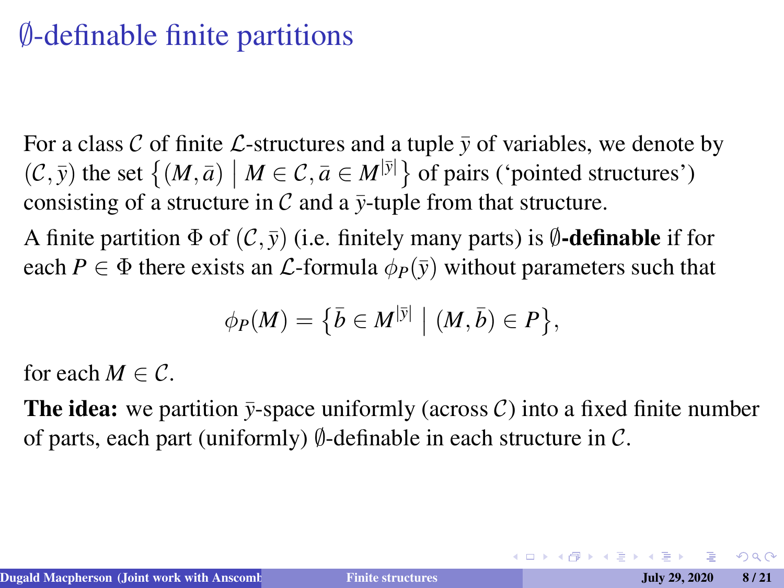## ∅-definable finite partitions

For a class C of finite L-structures and a tuple  $\bar{y}$  of variables, we denote by  $(C, \bar{y})$  the set  $\{(M, \bar{a}) \mid M \in C, \bar{a} \in M^{|\bar{y}|}\}$  of pairs ('pointed structures') consisting of a structure in  $\mathcal C$  and a  $\bar{\nu}$ -tuple from that structure.

A finite partition  $\Phi$  of  $(C, \bar{v})$  (i.e. finitely many parts) is  $\emptyset$ **-definable** if for each *P*  $\in \Phi$  there exists an *L*-formula  $\phi_P(\bar{y})$  without parameters such that

$$
\phi_P(M) = \big\{\bar{b} \in M^{|\bar{y}|} \mid (M, \bar{b}) \in P\big\},\
$$

for each  $M \in \mathcal{C}$ .

**The idea:** we partition  $\bar{y}$ -space uniformly (across C) into a fixed finite number of parts, each part (uniformly)  $\emptyset$ -definable in each structure in C.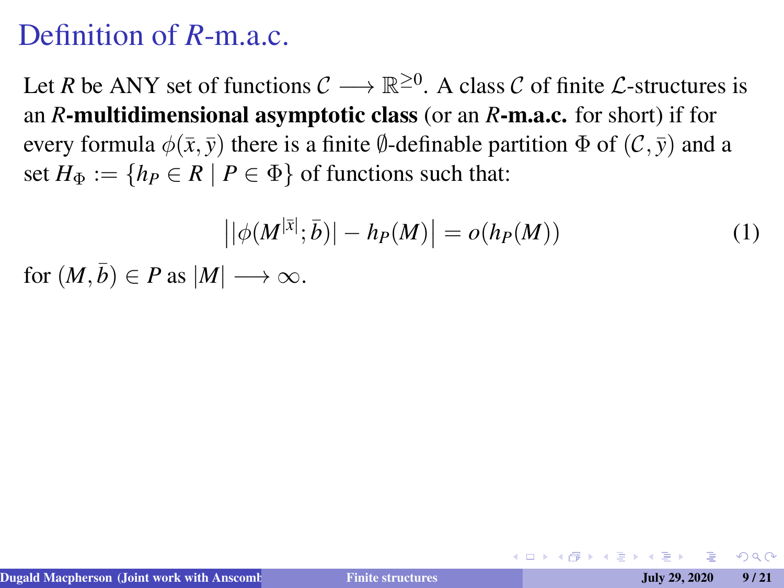#### Definition of *R*-m a.c.

Let *R* be ANY set of functions  $C \longrightarrow \mathbb{R}^{\geq 0}$ . A class *C* of finite *L*-structures is an *R*-multidimensional asymptotic class (or an *R*-m.a.c. for short) if for every formula  $\phi(\bar{x}, \bar{y})$  there is a finite  $\emptyset$ -definable partition  $\Phi$  of  $(C, \bar{y})$  and a set  $H_{\Phi} := \{ h_P \in R \mid P \in \Phi \}$  of functions such that:

$$
\left| |\phi(M^{|\bar{x}|}; \bar{b})| - h_P(M) \right| = o(h_P(M)) \tag{1}
$$

for  $(M, \bar{b}) \in P$  as  $|M| \longrightarrow \infty$ .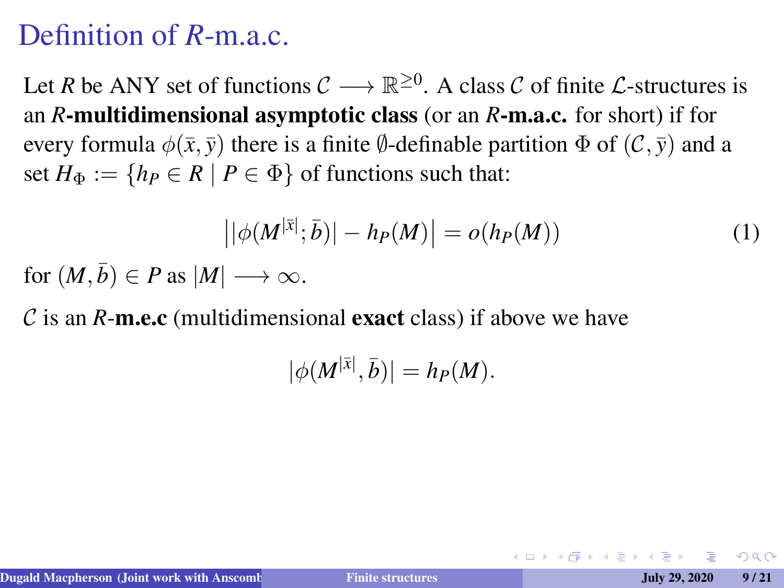#### Definition of *R*-m.a.c.

Let *R* be ANY set of functions  $C \longrightarrow \mathbb{R}^{\geq 0}$ . A class *C* of finite *L*-structures is an *R*-multidimensional asymptotic class (or an *R*-m.a.c. for short) if for every formula  $\phi(\bar{x}, \bar{y})$  there is a finite  $\emptyset$ -definable partition  $\Phi$  of  $(C, \bar{y})$  and a set  $H_{\Phi} := \{ h_P \in R \mid P \in \Phi \}$  of functions such that:

$$
\left| |\phi(M^{|\bar{x}|}; \bar{b})| - h_P(M) \right| = o(h_P(M)) \tag{1}
$$

for  $(M, \bar{b}) \in P$  as  $|M| \longrightarrow \infty$ .

 $\mathcal C$  is an  $R$ -m.e.c (multidimensional exact class) if above we have

$$
|\phi(M^{|\bar{x}|},\bar{b})|=h_P(M).
$$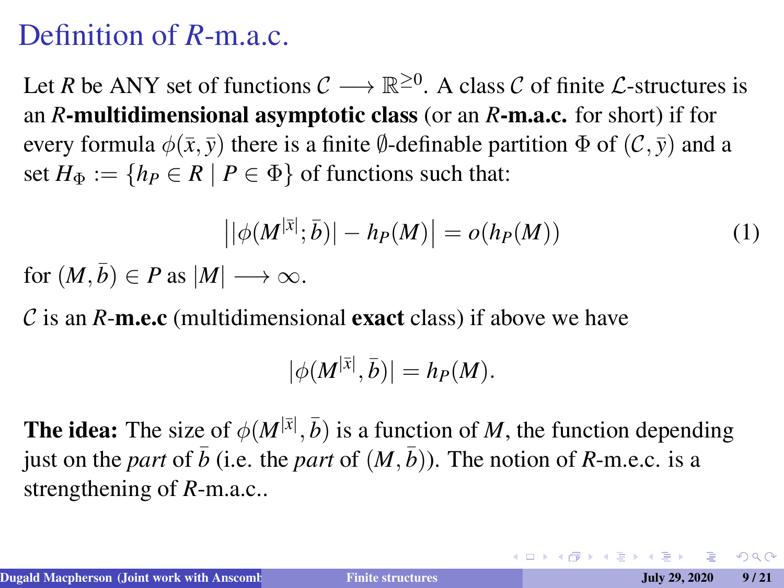### Definition of *R*-m.a.c.

Let *R* be ANY set of functions  $C \longrightarrow \mathbb{R}^{\geq 0}$ . A class *C* of finite *L*-structures is an *R*-multidimensional asymptotic class (or an *R*-m.a.c. for short) if for every formula  $\phi(\bar{x}, \bar{y})$  there is a finite  $\emptyset$ -definable partition  $\Phi$  of  $(C, \bar{y})$  and a set  $H_{\Phi} := \{ h_P \in R \mid P \in \Phi \}$  of functions such that:

$$
\left| |\phi(M^{|\bar{x}|}; \bar{b})| - h_P(M) \right| = o(h_P(M)) \tag{1}
$$

for  $(M, \bar{b}) \in P$  as  $|M| \longrightarrow \infty$ .

 $\mathcal C$  is an  $R$ -m.e.c (multidimensional exact class) if above we have

$$
|\phi(M^{|\bar{x}|},\bar{b})|=h_P(M).
$$

The idea: The size of  $\phi(M^{|\bar{x}|}, \bar{b})$  is a function of *M*, the function depending just on the *part* of  $\bar{b}$  (i.e. the *part* of  $(M, \bar{b})$ ). The notion of *R*-m.e.c. is a strengthening of *R*-m.a.c..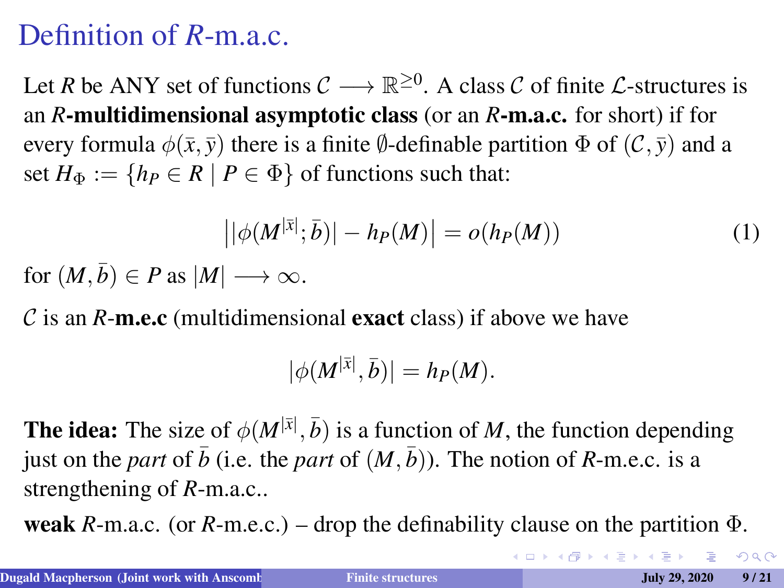## Definition of *R*-m.a.c.

Let *R* be ANY set of functions  $C \longrightarrow \mathbb{R}^{\geq 0}$ . A class *C* of finite *L*-structures is an *R*-multidimensional asymptotic class (or an *R*-m.a.c. for short) if for every formula  $\phi(\bar{x}, \bar{y})$  there is a finite  $\emptyset$ -definable partition  $\Phi$  of  $(C, \bar{y})$  and a set  $H_{\Phi} := \{ h_P \in R \mid P \in \Phi \}$  of functions such that:

$$
\left| |\phi(M^{|\bar{x}|}; \bar{b})| - h_P(M) \right| = o(h_P(M)) \tag{1}
$$

for  $(M, \bar{b}) \in P$  as  $|M| \longrightarrow \infty$ .

 $\mathcal C$  is an  $R$ -m.e.c (multidimensional exact class) if above we have

$$
|\phi(M^{|\bar{x}|},\bar{b})|=h_P(M).
$$

The idea: The size of  $\phi(M^{|\bar{x}|}, \bar{b})$  is a function of *M*, the function depending just on the *part* of  $\bar{b}$  (i.e. the *part* of  $(M, \bar{b})$ ). The notion of *R*-m.e.c. is a strengthening of *R*-m.a.c..

**weak**  $R$ -m.a.c. (or  $R$ -m.e.c.) – drop the definability clause on the partition  $\Phi$ .

 $QQ$ 

 $\mathbf{A} \equiv \mathbf{A} + \mathbf{A} + \mathbf{B} + \mathbf{A} + \mathbf{B} + \mathbf{A} + \mathbf{B} + \mathbf{A} + \mathbf{B} + \mathbf{A} + \mathbf{B} + \mathbf{A} + \mathbf{B} + \mathbf{A} + \mathbf{B} + \mathbf{A} + \mathbf{B} + \mathbf{A} + \mathbf{B} + \mathbf{A} + \mathbf{B} + \mathbf{A} + \mathbf{B} + \mathbf{A} + \mathbf{B} + \mathbf{A} + \mathbf{B} + \mathbf{A} + \mathbf{B} + \mathbf{A} + \math$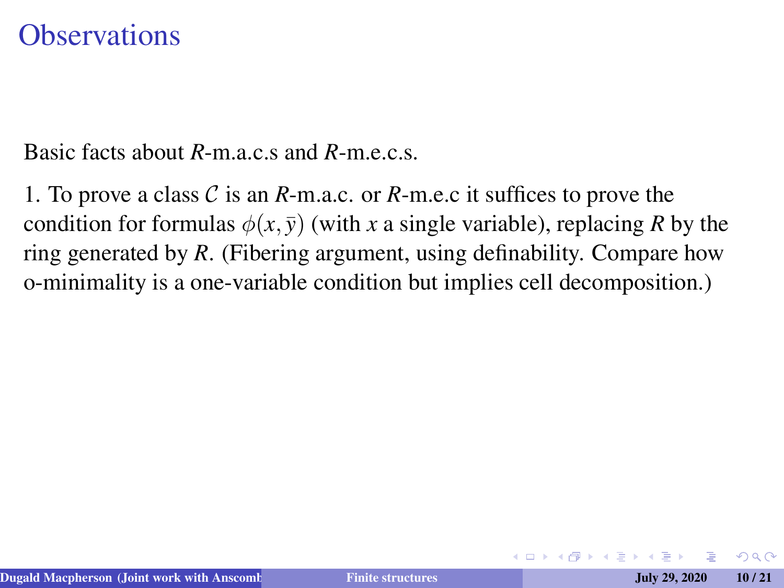#### **Observations**

Basic facts about *R*-m.a.c.s and *R*-m.e.c.s.

1. To prove a class C is an *R*-m.a.c. or *R*-m.e.c it suffices to prove the condition for formulas  $\phi(x, \bar{y})$  (with *x* a single variable), replacing *R* by the ring generated by *R*. (Fibering argument, using definability. Compare how o-minimality is a one-variable condition but implies cell decomposition.)

 $\Omega$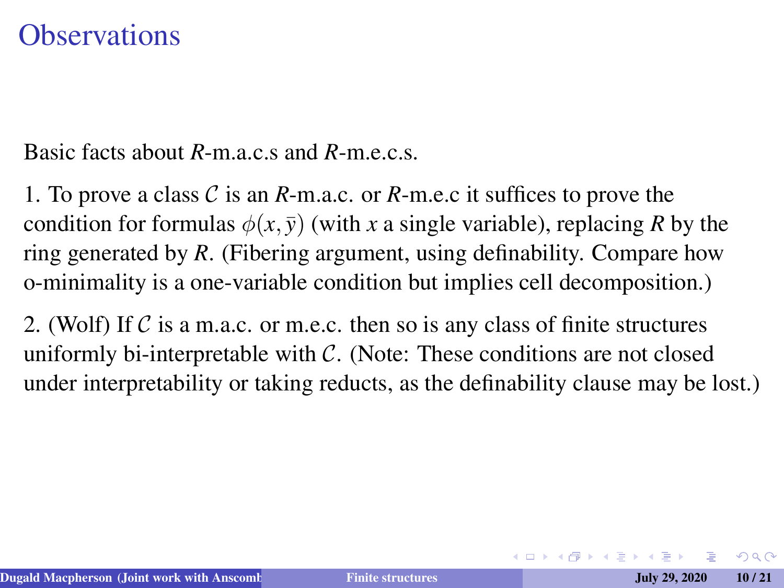#### **Observations**

Basic facts about *R*-m.a.c.s and *R*-m.e.c.s.

1. To prove a class C is an *R*-m.a.c. or *R*-m.e.c it suffices to prove the condition for formulas  $\phi(x, \bar{y})$  (with *x* a single variable), replacing *R* by the ring generated by *R*. (Fibering argument, using definability. Compare how o-minimality is a one-variable condition but implies cell decomposition.)

2. (Wolf) If  $\mathcal C$  is a m.a.c. or m.e.c. then so is any class of finite structures uniformly bi-interpretable with  $\mathcal{C}$ . (Note: These conditions are not closed under interpretability or taking reducts, as the definability clause may be lost.)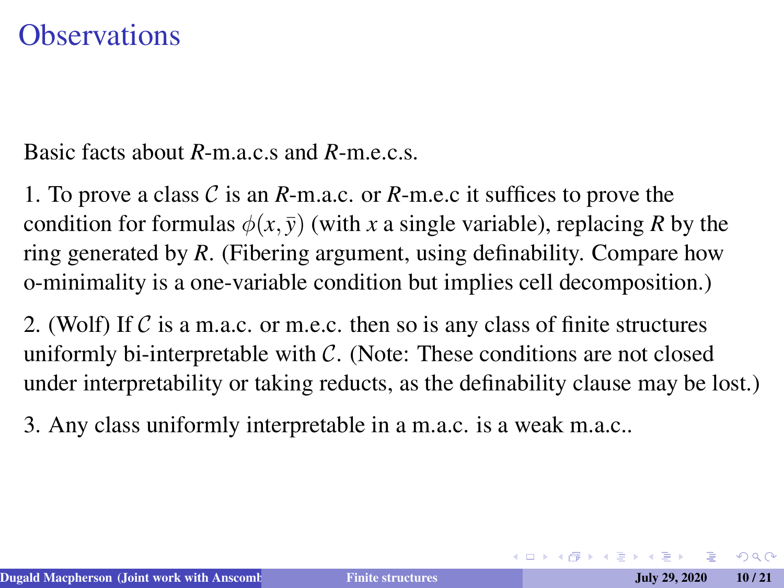#### **Observations**

Basic facts about *R*-m.a.c.s and *R*-m.e.c.s.

1. To prove a class C is an *R*-m.a.c. or *R*-m.e.c it suffices to prove the condition for formulas  $\phi(x, \bar{y})$  (with *x* a single variable), replacing *R* by the ring generated by *R*. (Fibering argument, using definability. Compare how o-minimality is a one-variable condition but implies cell decomposition.)

2. (Wolf) If  $C$  is a m.a.c. or m.e.c. then so is any class of finite structures uniformly bi-interpretable with  $\mathcal{C}$ . (Note: These conditions are not closed under interpretability or taking reducts, as the definability clause may be lost.)

3. Any class uniformly interpretable in a m.a.c. is a weak m.a.c..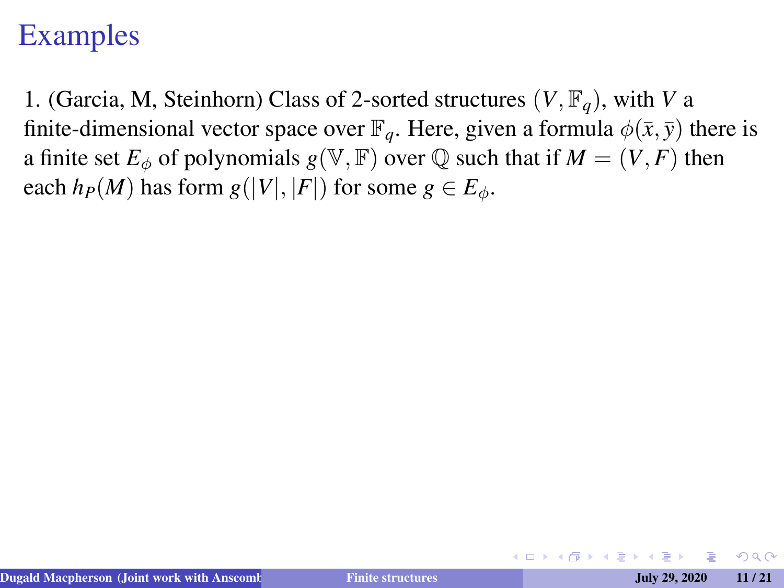1. (Garcia, M, Steinhorn) Class of 2-sorted structures  $(V, \mathbb{F}_q)$ , with *V* a finite-dimensional vector space over  $\mathbb{F}_q$ . Here, given a formula  $\phi(\bar{x}, \bar{y})$  there is a finite set  $E_{\phi}$  of polynomials  $g(\mathbb{V}, \mathbb{F})$  over  $\mathbb Q$  such that if  $M = (V, F)$  then each  $h_P(M)$  has form  $g(|V|, |F|)$  for some  $g \in E_\phi$ .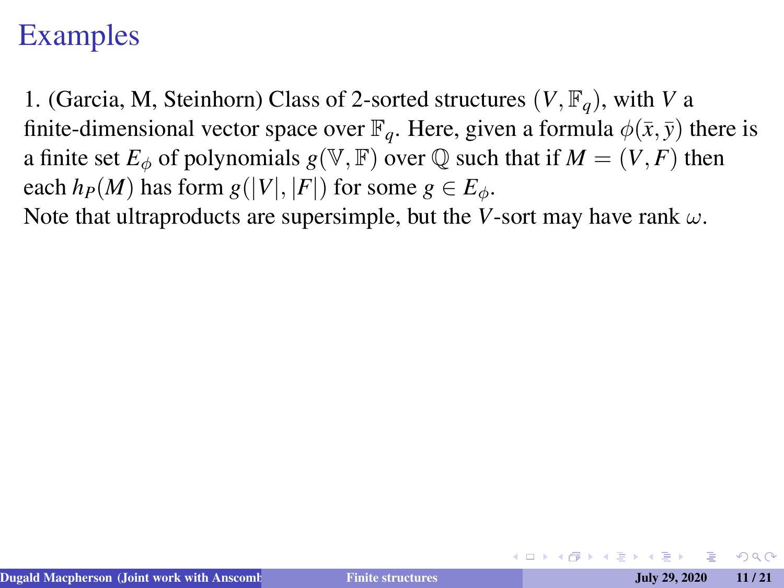1. (Garcia, M, Steinhorn) Class of 2-sorted structures  $(V, \mathbb{F}_q)$ , with *V* a finite-dimensional vector space over  $\mathbb{F}_q$ . Here, given a formula  $\phi(\bar{x}, \bar{y})$  there is a finite set  $E_{\phi}$  of polynomials  $g(\mathbb{V}, \mathbb{F})$  over  $\mathbb Q$  such that if  $M = (V, F)$  then each  $h_P(M)$  has form  $g(|V|, |F|)$  for some  $g \in E_\phi$ .

Note that ultraproducts are supersimple, but the *V*-sort may have rank  $\omega$ .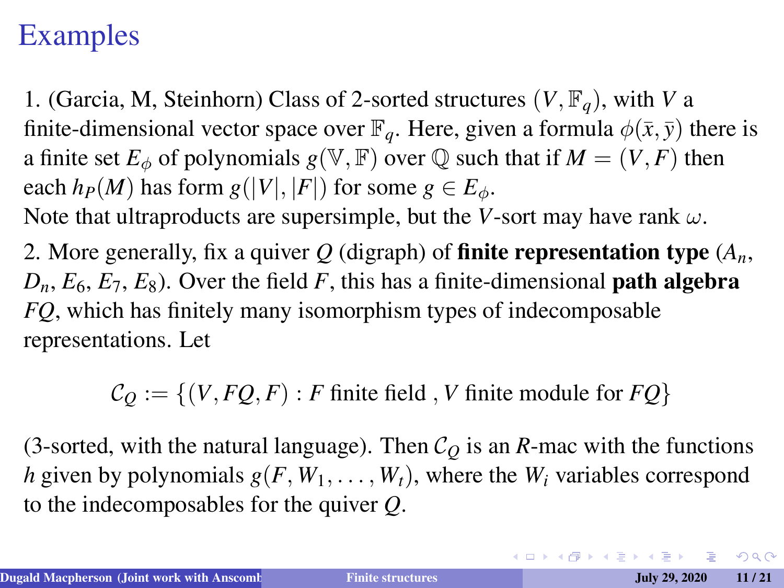1. (Garcia, M, Steinhorn) Class of 2-sorted structures (*V*, F*q*), with *V* a finite-dimensional vector space over  $\mathbb{F}_q$ . Here, given a formula  $\phi(\bar{x}, \bar{y})$  there is a finite set  $E_{\phi}$  of polynomials  $g(\mathbb{V}, \mathbb{F})$  over  $\mathbb Q$  such that if  $M = (V, F)$  then each  $h_P(M)$  has form  $g(|V|, |F|)$  for some  $g \in E_\phi$ .

Note that ultraproducts are supersimple, but the *V*-sort may have rank  $\omega$ .

2. More generally, fix a quiver  $Q$  (digraph) of **finite representation type**  $(A_n, A_n)$  $D_n$ ,  $E_6$ ,  $E_7$ ,  $E_8$ ). Over the field *F*, this has a finite-dimensional **path algebra** *FQ*, which has finitely many isomorphism types of indecomposable representations. Let

 $C_O := \{(V, FO, F) : F \text{ finite field}, V \text{ finite module for } FO\}$ 

(3-sorted, with the natural language). Then  $C<sub>O</sub>$  is an *R*-mac with the functions *h* given by polynomials  $g(F, W_1, \ldots, W_t)$ , where the  $W_i$  variables correspond to the indecomposables for the quiver *Q*.

**KOD KAD KED KED E VAN**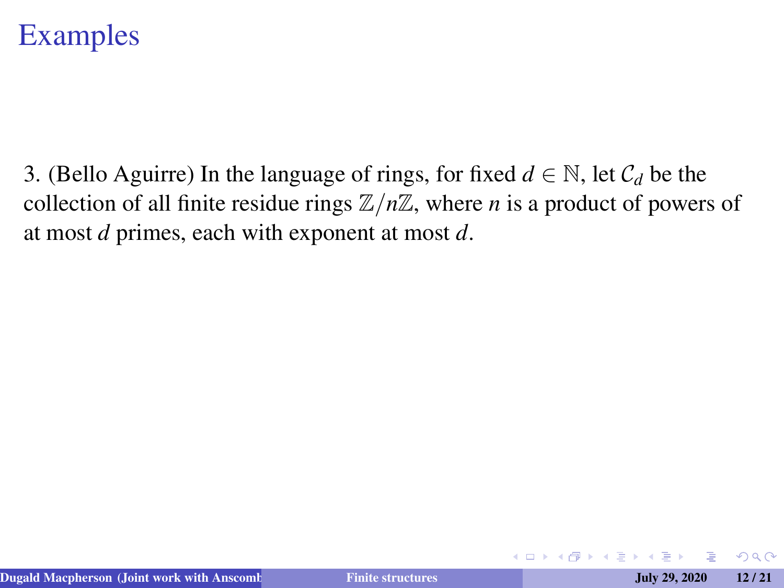3. (Bello Aguirre) In the language of rings, for fixed  $d \in \mathbb{N}$ , let  $\mathcal{C}_d$  be the collection of all finite residue rings  $\mathbb{Z}/n\mathbb{Z}$ , where *n* is a product of powers of at most *d* primes, each with exponent at most *d*.

4 口 ) 4 伺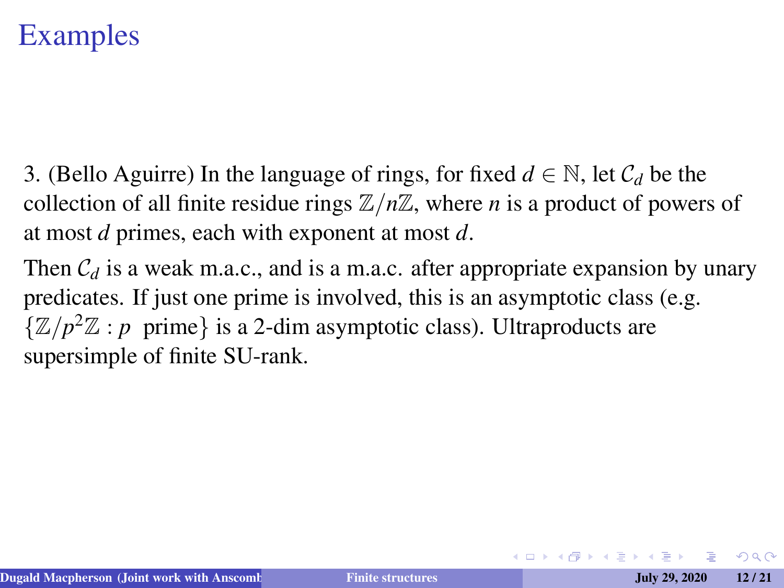- 3. (Bello Aguirre) In the language of rings, for fixed  $d \in \mathbb{N}$ , let  $\mathcal{C}_d$  be the collection of all finite residue rings  $\mathbb{Z}/n\mathbb{Z}$ , where *n* is a product of powers of at most *d* primes, each with exponent at most *d*.
- Then  $C_d$  is a weak m.a.c., and is a m.a.c. after appropriate expansion by unary predicates. If just one prime is involved, this is an asymptotic class (e.g.  $\{\mathbb{Z}/p^2\mathbb{Z} : p \text{ prime}\}\$ is a 2-dim asymptotic class). Ultraproducts are supersimple of finite SU-rank.

 $2Q$ 

キロメ 不得 トメミ トメミト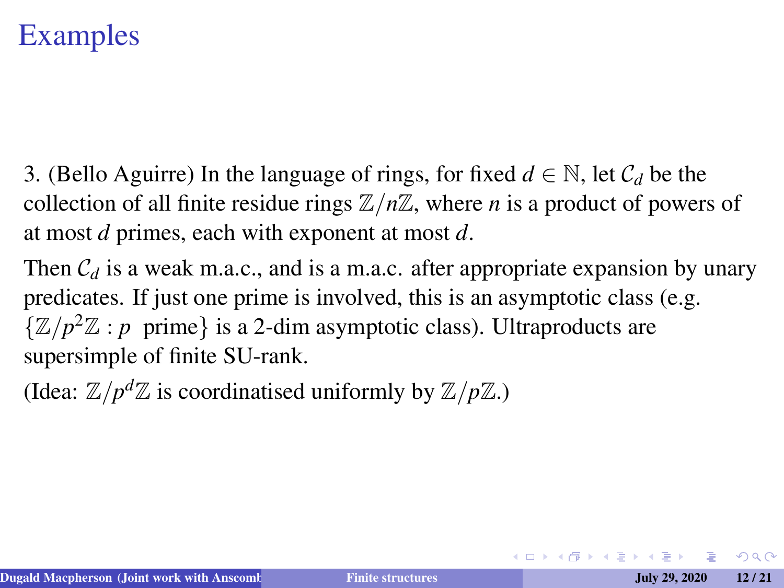3. (Bello Aguirre) In the language of rings, for fixed  $d \in \mathbb{N}$ , let  $\mathcal{C}_d$  be the collection of all finite residue rings  $\mathbb{Z}/n\mathbb{Z}$ , where *n* is a product of powers of at most *d* primes, each with exponent at most *d*.

Then  $C_d$  is a weak m.a.c., and is a m.a.c. after appropriate expansion by unary predicates. If just one prime is involved, this is an asymptotic class (e.g.  $\{\mathbb{Z}/p^2\mathbb{Z} : p \text{ prime}\}\$ is a 2-dim asymptotic class). Ultraproducts are supersimple of finite SU-rank.

(Idea:  $\mathbb{Z}/p^d\mathbb{Z}$  is coordinatised uniformly by  $\mathbb{Z}/p\mathbb{Z}$ .)

 $2Q$ 

イロト (何) イヨト (ヨ)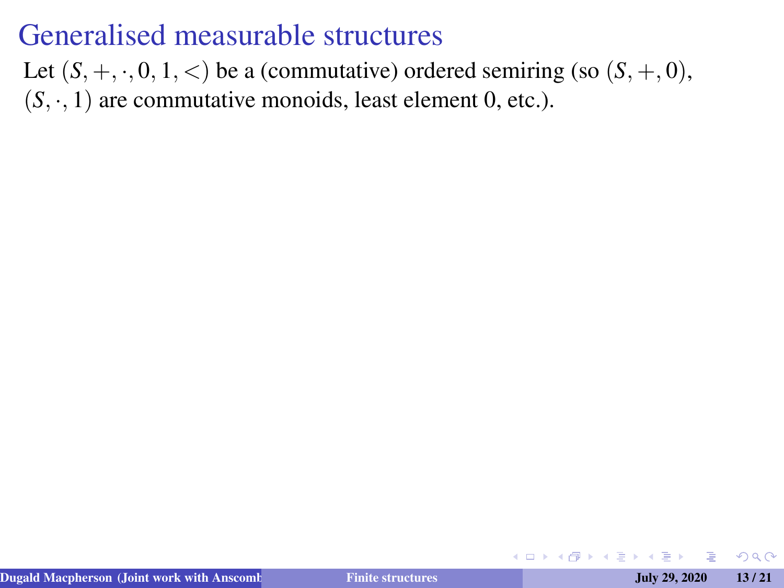Let  $(S, +, \cdot, 0, 1, <)$  be a (commutative) ordered semiring (so  $(S, +, 0)$ ,  $(S, \cdot, 1)$  are commutative monoids, least element 0, etc.).

つくい

4 口 ) 4 伺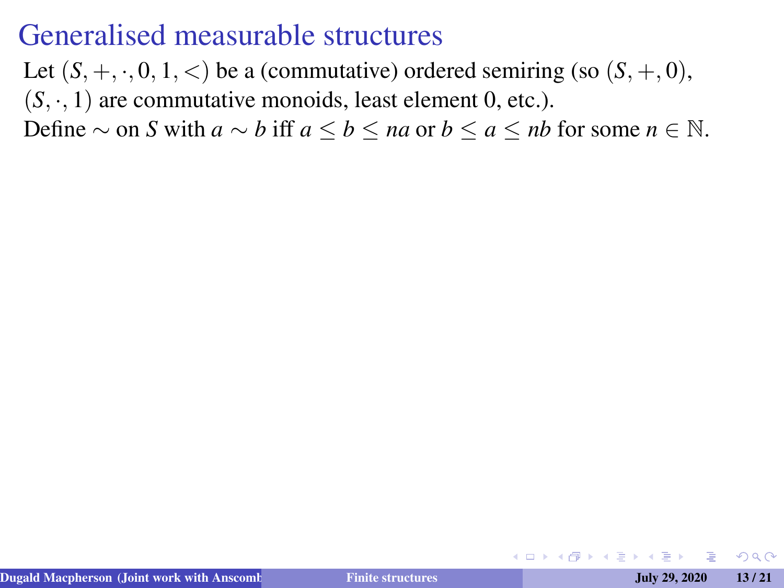Let  $(S, +, \cdot, 0, 1, <)$  be a (commutative) ordered semiring (so  $(S, +, 0)$ ,  $(S, \cdot, 1)$  are commutative monoids, least element 0, etc.).

Define  $\sim$  on *S* with *a*  $\sim$  *b* iff *a* ≤ *b* ≤ *na* or *b* ≤ *a* ≤ *nb* for some *n* ∈ N.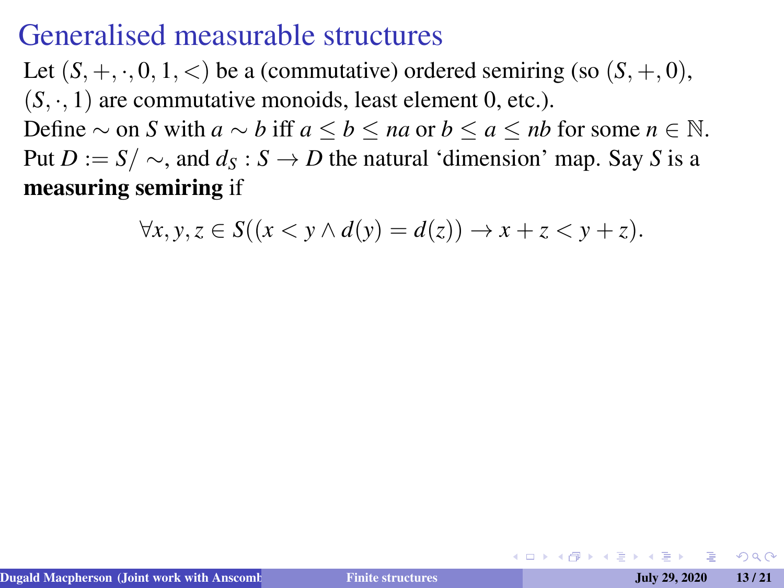Let  $(S, +, \cdot, 0, 1, <)$  be a (commutative) ordered semiring (so  $(S, +, 0)$ ,  $(S, \cdot, 1)$  are commutative monoids, least element 0, etc.). Define  $\sim$  on *S* with *a*  $\sim$  *b* iff *a* ≤ *b* ≤ *na* or *b* ≤ *a* ≤ *nb* for some *n* ∈ N. Put  $D := S / \sim$ , and  $d_S : S \to D$  the natural 'dimension' map. Say *S* is a

measuring semiring if

$$
\forall x, y, z \in S((x < y \land d(y) = d(z)) \to x + z < y + z).
$$

 $\Omega$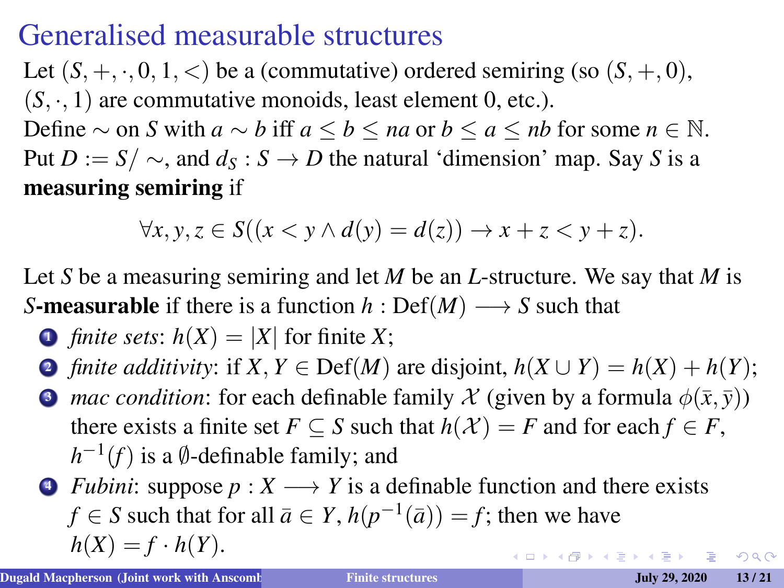Let  $(S, +, \cdot, 0, 1, <)$  be a (commutative) ordered semiring (so  $(S, +, 0)$ ,  $(S, \cdot, 1)$  are commutative monoids, least element 0, etc.). Define  $\sim$  on *S* with  $a \sim b$  iff  $a \le b \le na$  or  $b \le a \le nb$  for some  $n \in \mathbb{N}$ . Put  $D := S / \sim$ , and  $d_S : S \to D$  the natural 'dimension' map. Say *S* is a

measuring semiring if

$$
\forall x, y, z \in S((x < y \land d(y) = d(z)) \rightarrow x + z < y + z).
$$

Let *S* be a measuring semiring and let *M* be an *L*-structure. We say that *M* is *S*-measurable if there is a function  $h : Def(M) \longrightarrow S$  such that

• *finite sets*: 
$$
h(X) = |X|
$$
 for finite X;

2 *finite additivity*: if  $X, Y \in \text{Def}(M)$  are disjoint,  $h(X \cup Y) = h(X) + h(Y)$ ;

**3** *mac condition*: for each definable family X (given by a formula  $\phi(\bar{x}, \bar{y})$ ) there exists a finite set  $F \subseteq S$  such that  $h(\mathcal{X}) = F$  and for each  $f \in F$ ,  $h^{-1}(f)$  is a  $\emptyset$ -definable family; and

 $\bullet$  *Fubini*: suppose  $p: X \longrightarrow Y$  is a definable function and there exists *f* ∈ *S* such that for all  $\bar{a} \in Y$ ,  $h(p^{-1}(\bar{a})) = f$ ; then we have  $h(X) = f \cdot h(Y)$ . イロトメ 御きメ 老 トメ 老 トー 老

 $QQ$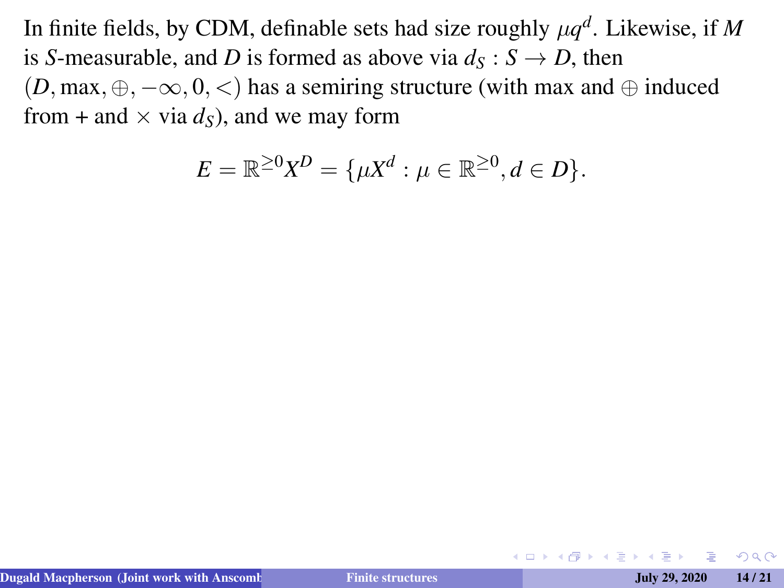In finite fields, by CDM, definable sets had size roughly  $\mu q^d$ . Likewise, if M is *S*-measurable, and *D* is formed as above via  $d<sub>S</sub> : S \rightarrow D$ , then  $(D, \text{max}, \oplus, -\infty, 0, <)$  has a semiring structure (with max and  $\oplus$  induced from + and  $\times$  via  $d_S$ ), and we may form

$$
E = \mathbb{R}^{\geq 0} X^D = \{ \mu X^d : \mu \in \mathbb{R}^{\geq 0}, d \in D \}.
$$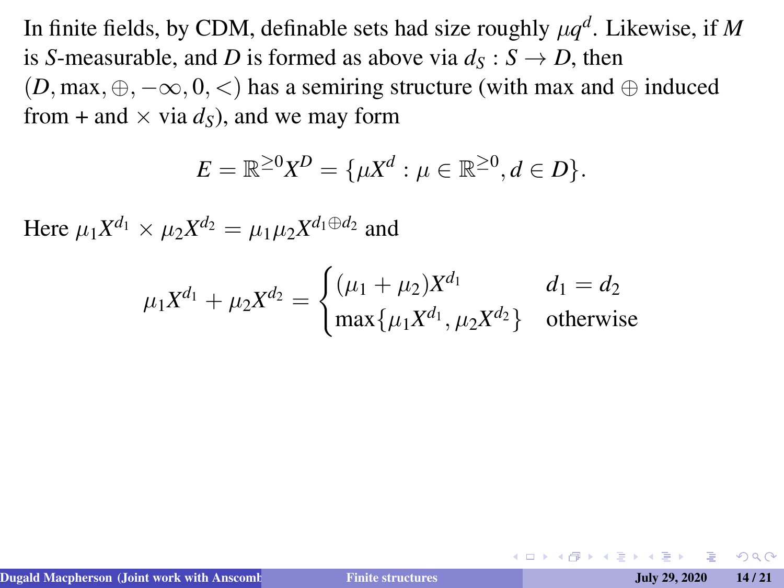In finite fields, by CDM, definable sets had size roughly  $\mu q^d$ . Likewise, if M is *S*-measurable, and *D* is formed as above via  $d_S : S \to D$ , then  $(D, \text{max}, \oplus, -\infty, 0, <)$  has a semiring structure (with max and  $\oplus$  induced from + and  $\times$  via  $d<sub>S</sub>$ ), and we may form

$$
E = \mathbb{R}^{\geq 0} X^D = \{ \mu X^d : \mu \in \mathbb{R}^{\geq 0}, d \in D \}.
$$

Here  $\mu_1 X^{d_1} \times \mu_2 X^{d_2} = \mu_1 \mu_2 X^{d_1 \oplus d_2}$  and

$$
\mu_1 X^{d_1} + \mu_2 X^{d_2} = \begin{cases} (\mu_1 + \mu_2) X^{d_1} & d_1 = d_2 \\ \max\{\mu_1 X^{d_1}, \mu_2 X^{d_2}\} & \text{otherwise} \end{cases}
$$

 $\Omega$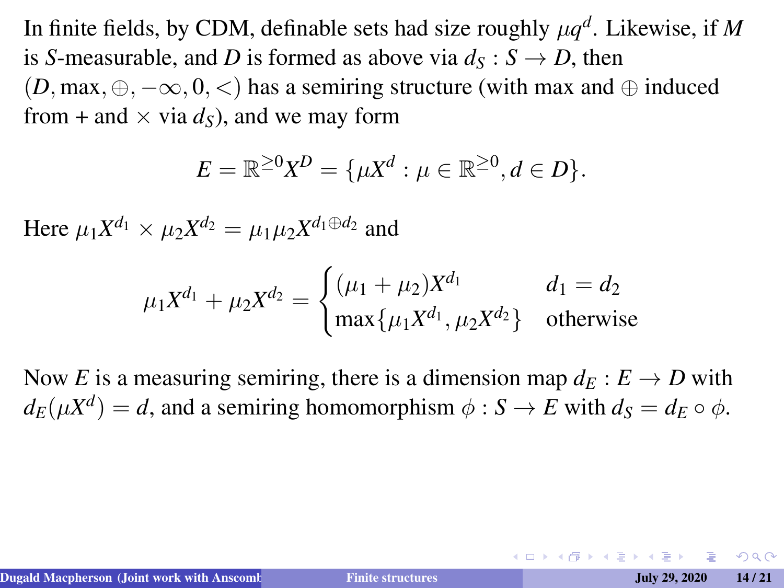In finite fields, by CDM, definable sets had size roughly  $\mu q^d$ . Likewise, if M is *S*-measurable, and *D* is formed as above via  $d<sub>S</sub> : S \rightarrow D$ , then  $(D, \text{max}, \oplus, -\infty, 0, <)$  has a semiring structure (with max and  $\oplus$  induced from  $+$  and  $\times$  via  $d<sub>S</sub>$ ), and we may form

$$
E=\mathbb{R}^{\geq 0}X^D=\{\mu X^d:\mu\in\mathbb{R}^{\geq 0},d\in D\}.
$$

Here  $\mu_1 X^{d_1} \times \mu_2 X^{d_2} = \mu_1 \mu_2 X^{d_1 \oplus d_2}$  and

$$
\mu_1 X^{d_1} + \mu_2 X^{d_2} = \begin{cases} (\mu_1 + \mu_2) X^{d_1} & d_1 = d_2 \\ \max\{\mu_1 X^{d_1}, \mu_2 X^{d_2}\} & \text{otherwise} \end{cases}
$$

Now *E* is a measuring semiring, there is a dimension map  $d_E : E \to D$  with  $d_E(\mu X^d) = d$ , and a semiring homomorphism  $\phi : S \to E$  with  $d_S = d_E \circ \phi$ .

 $200$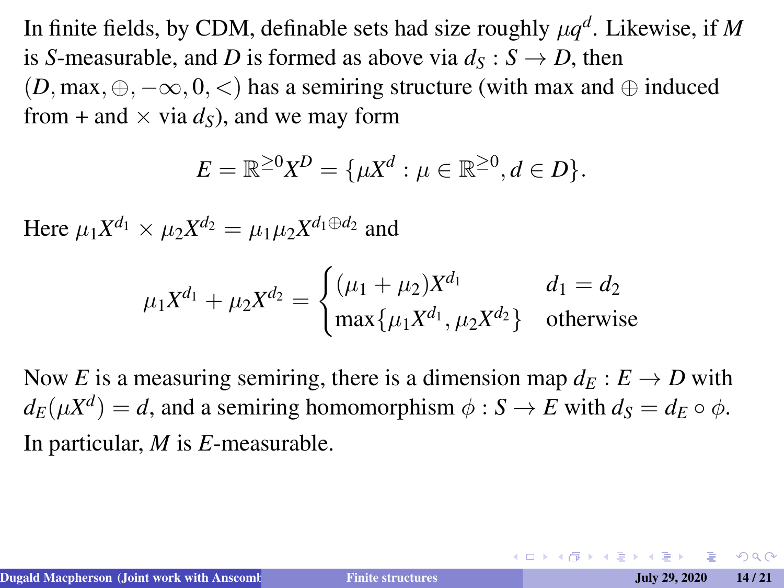In finite fields, by CDM, definable sets had size roughly  $\mu q^d$ . Likewise, if M is *S*-measurable, and *D* is formed as above via  $d<sub>S</sub> : S \rightarrow D$ , then  $(D, \text{max}, \oplus, -\infty, 0, <)$  has a semiring structure (with max and  $\oplus$  induced from  $+$  and  $\times$  via  $d<sub>S</sub>$ ), and we may form

$$
E=\mathbb{R}^{\geq 0}X^D=\{\mu X^d:\mu\in\mathbb{R}^{\geq 0},d\in D\}.
$$

Here  $\mu_1 X^{d_1} \times \mu_2 X^{d_2} = \mu_1 \mu_2 X^{d_1 \oplus d_2}$  and

$$
\mu_1 X^{d_1} + \mu_2 X^{d_2} = \begin{cases} (\mu_1 + \mu_2) X^{d_1} & d_1 = d_2 \\ \max\{\mu_1 X^{d_1}, \mu_2 X^{d_2}\} & \text{otherwise} \end{cases}
$$

Now *E* is a measuring semiring, there is a dimension map  $d_E : E \to D$  with  $d_E(\mu X^d) = d$ , and a semiring homomorphism  $\phi : S \to E$  with  $d_S = d_E \circ \phi$ . In particular, *M* is *E*-measurable.

 $\Omega$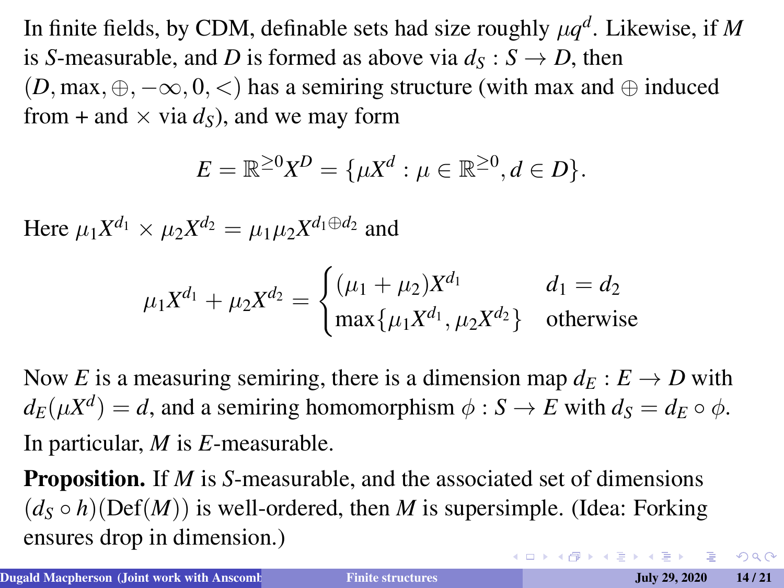In finite fields, by CDM, definable sets had size roughly  $\mu q^d$ . Likewise, if M is *S*-measurable, and *D* is formed as above via  $d<sub>S</sub> : S \rightarrow D$ , then  $(D, \text{max}, \oplus, -\infty, 0, <)$  has a semiring structure (with max and  $\oplus$  induced from  $+$  and  $\times$  via  $d<sub>S</sub>$ ), and we may form

$$
E = \mathbb{R}^{\geq 0} X^D = {\mu X^d : \mu \in \mathbb{R}^{\geq 0}, d \in D}.
$$

Here  $\mu_1 X^{d_1} \times \mu_2 X^{d_2} = \mu_1 \mu_2 X^{d_1 \oplus d_2}$  and

$$
\mu_1 X^{d_1} + \mu_2 X^{d_2} = \begin{cases} (\mu_1 + \mu_2) X^{d_1} & d_1 = d_2 \\ \max\{\mu_1 X^{d_1}, \mu_2 X^{d_2}\} & \text{otherwise} \end{cases}
$$

Now *E* is a measuring semiring, there is a dimension map  $d_E : E \to D$  with  $d_E(\mu X^d) = d$ , and a semiring homomorphism  $\phi : S \to E$  with  $d_S = d_E \circ \phi$ . In particular, *M* is *E*-measurable.

Proposition. If *M* is *S*-measurable, and the associated set of dimensions  $(d_S \circ h)(\text{Def}(M))$  is well-ordered, then *M* is supersimple. (Idea: Forking ensures drop in dimension.)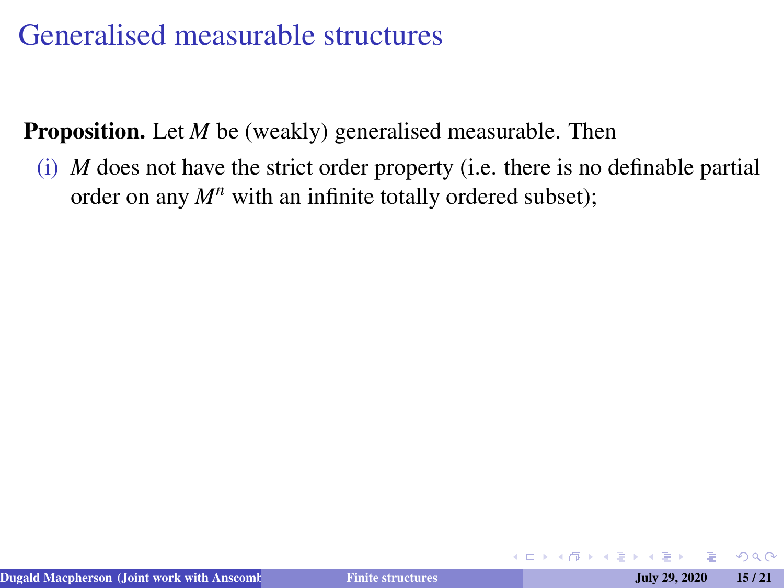**Proposition.** Let *M* be (weakly) generalised measurable. Then

(i) *M* does not have the strict order property (i.e. there is no definable partial order on any  $M^n$  with an infinite totally ordered subset);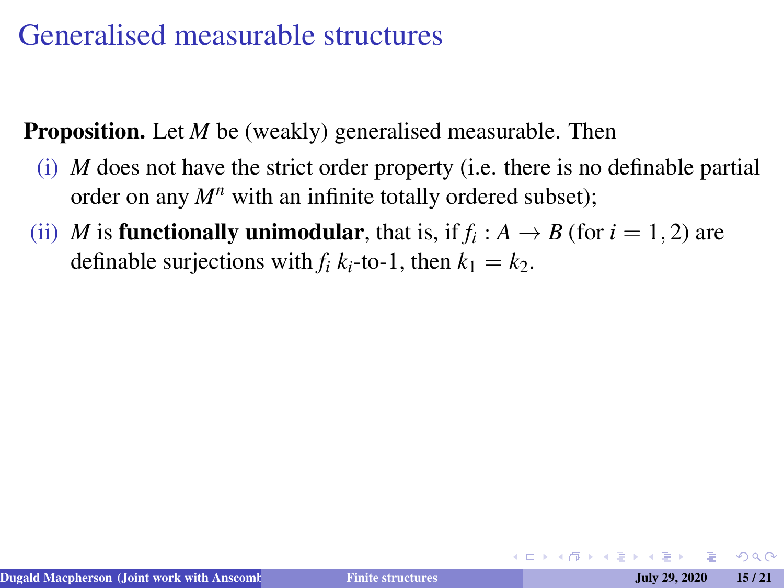**Proposition.** Let *M* be (weakly) generalised measurable. Then

- (i) *M* does not have the strict order property (i.e. there is no definable partial order on any  $M^n$  with an infinite totally ordered subset);
- (ii) *M* is **functionally unimodular**, that is, if  $f_i : A \rightarrow B$  (for  $i = 1, 2$ ) are definable surjections with  $f_i k_i$ -to-1, then  $k_1 = k_2$ .

 $\Omega$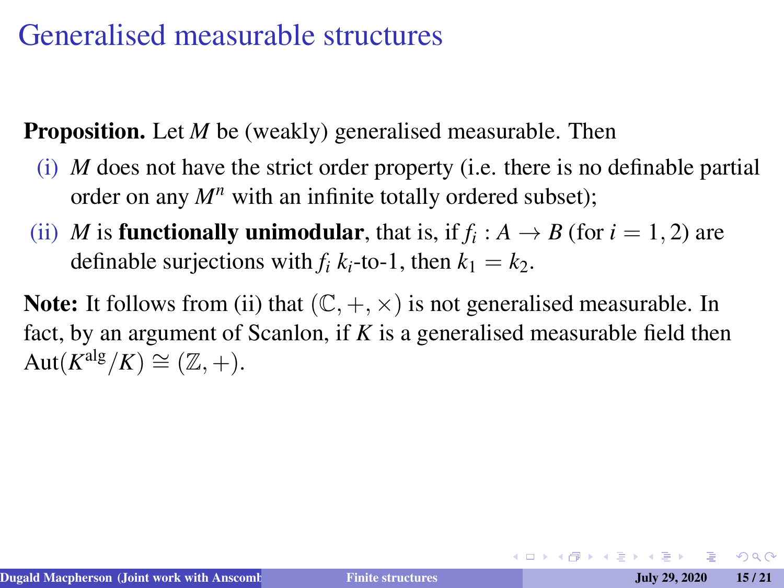**Proposition.** Let *M* be (weakly) generalised measurable. Then

- (i) *M* does not have the strict order property (i.e. there is no definable partial order on any  $M^n$  with an infinite totally ordered subset);
- (ii) *M* is **functionally unimodular**, that is, if  $f_i : A \rightarrow B$  (for  $i = 1, 2$ ) are definable surjections with  $f_i k_i$ -to-1, then  $k_1 = k_2$ .

**Note:** It follows from (ii) that  $(\mathbb{C}, +, \times)$  is not generalised measurable. In fact, by an argument of Scanlon, if *K* is a generalised measurable field then  $\mathrm{Aut}(K^{\mathrm{alg}}/K) \cong (\mathbb{Z}, +).$ 

 $QQ$ 

イロメイタメイヨメイヨメーヨ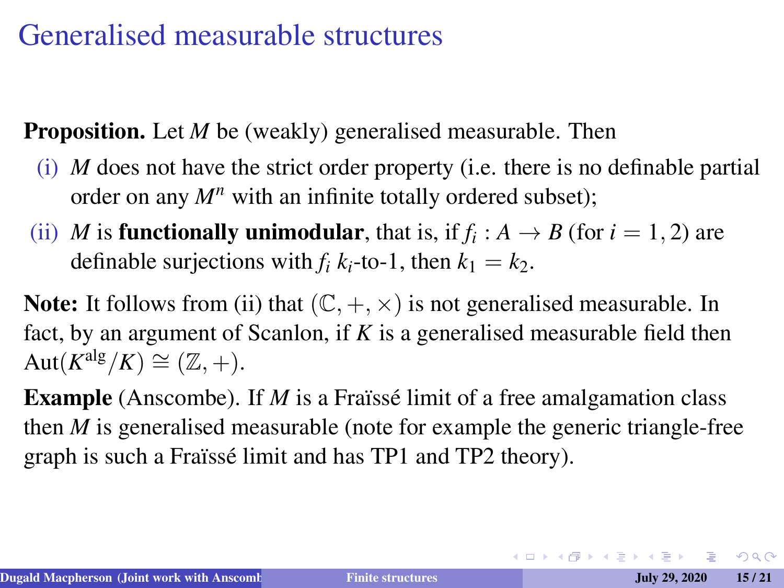**Proposition.** Let *M* be (weakly) generalised measurable. Then

- (i) *M* does not have the strict order property (i.e. there is no definable partial order on any  $M^n$  with an infinite totally ordered subset);
- (ii) *M* is **functionally unimodular**, that is, if  $f_i : A \rightarrow B$  (for  $i = 1, 2$ ) are definable surjections with  $f_i k_i$ -to-1, then  $k_1 = k_2$ .

**Note:** It follows from (ii) that  $(\mathbb{C}, +, \times)$  is not generalised measurable. In fact, by an argument of Scanlon, if *K* is a generalised measurable field then  $\mathrm{Aut}(K^{\mathrm{alg}}/K) \cong (\mathbb{Z}, +).$ 

**Example** (Anscombe). If *M* is a Fraïsse limit of a free amalgamation class then *M* is generalised measurable (note for example the generic triangle-free graph is such a Fraïssé limit and has TP1 and TP2 theory).

K ロ X K @ X K 할 X K 할 X - 할 X YO Q Q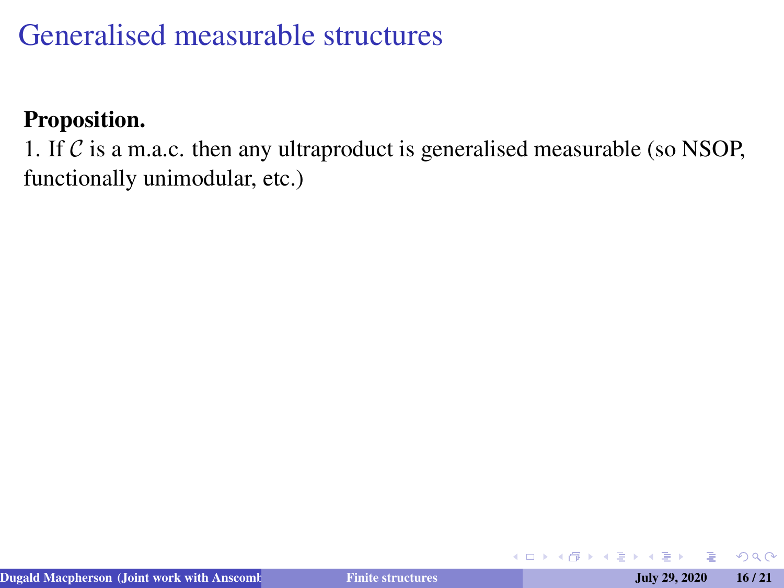#### Proposition.

1. If  $\mathcal C$  is a m.a.c. then any ultraproduct is generalised measurable (so NSOP, functionally unimodular, etc.)

4 口 ▶ 4 何

 $QQ$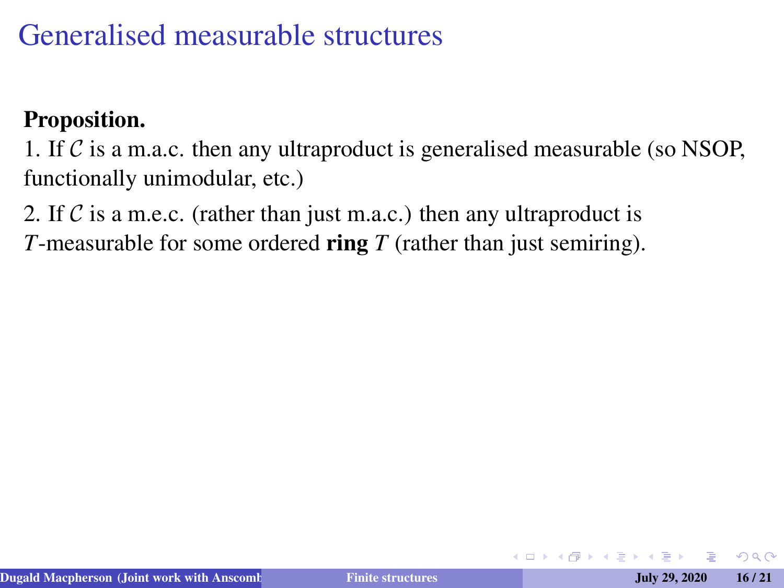#### Proposition.

1. If  $\mathcal C$  is a m.a.c. then any ultraproduct is generalised measurable (so NSOP, functionally unimodular, etc.)

2. If C is a m.e.c. (rather than just m.a.c.) then any ultraproduct is

*T*-measurable for some ordered ring *T* (rather than just semiring).

 $\Omega$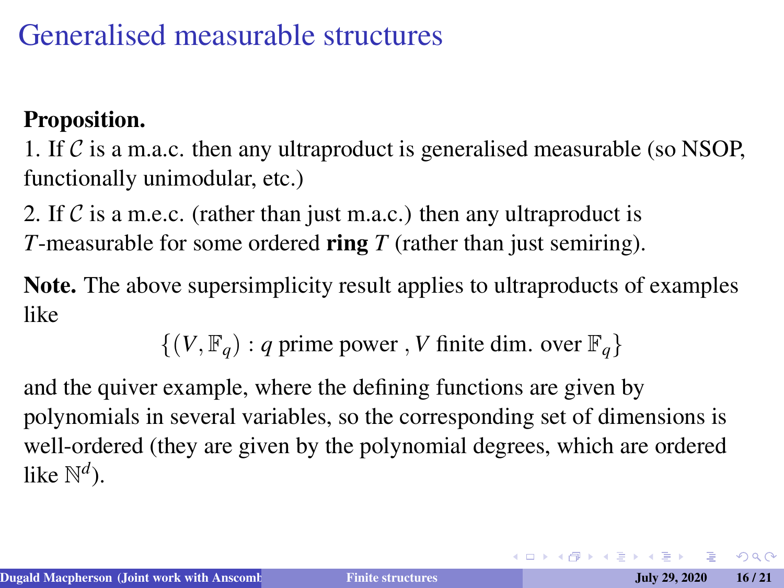#### Proposition.

1. If  $\mathcal C$  is a m.a.c. then any ultraproduct is generalised measurable (so NSOP, functionally unimodular, etc.)

2. If C is a m.e.c. (rather than just m.a.c.) then any ultraproduct is *T*-measurable for some ordered ring *T* (rather than just semiring).

Note. The above supersimplicity result applies to ultraproducts of examples like

 $\{(V, \mathbb{F}_q) : q \text{ prime power}, V \text{ finite dim. over } \mathbb{F}_q\}$ 

and the quiver example, where the defining functions are given by polynomials in several variables, so the corresponding set of dimensions is well-ordered (they are given by the polynomial degrees, which are ordered like N *d* ).

 $QQ$ 

イロメイタメイヨメイヨメーヨ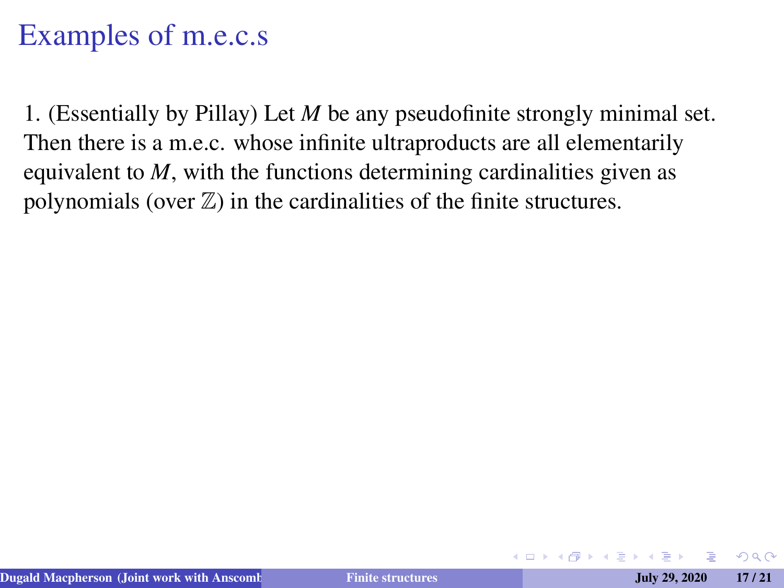1. (Essentially by Pillay) Let *M* be any pseudofinite strongly minimal set. Then there is a m.e.c. whose infinite ultraproducts are all elementarily equivalent to *M*, with the functions determining cardinalities given as polynomials (over  $\mathbb{Z}$ ) in the cardinalities of the finite structures.

 $\Omega$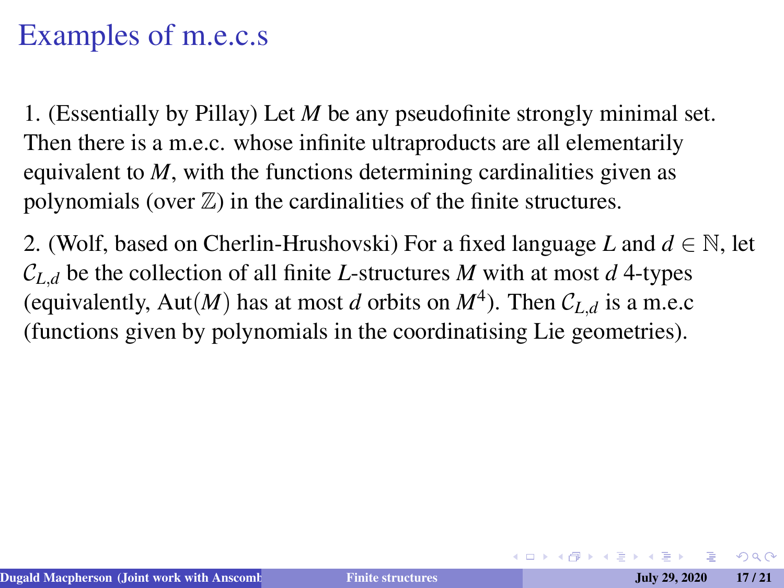1. (Essentially by Pillay) Let *M* be any pseudofinite strongly minimal set. Then there is a m.e.c. whose infinite ultraproducts are all elementarily equivalent to *M*, with the functions determining cardinalities given as polynomials (over  $\mathbb{Z}$ ) in the cardinalities of the finite structures.

2. (Wolf, based on Cherlin-Hrushovski) For a fixed language *L* and  $d \in \mathbb{N}$ , let  $C_{L,d}$  be the collection of all finite *L*-structures *M* with at most *d* 4-types (equivalently, Aut $(M)$  has at most *d* orbits on  $M<sup>4</sup>$ ). Then  $\mathcal{C}_{L,d}$  is a m.e.c (functions given by polynomials in the coordinatising Lie geometries).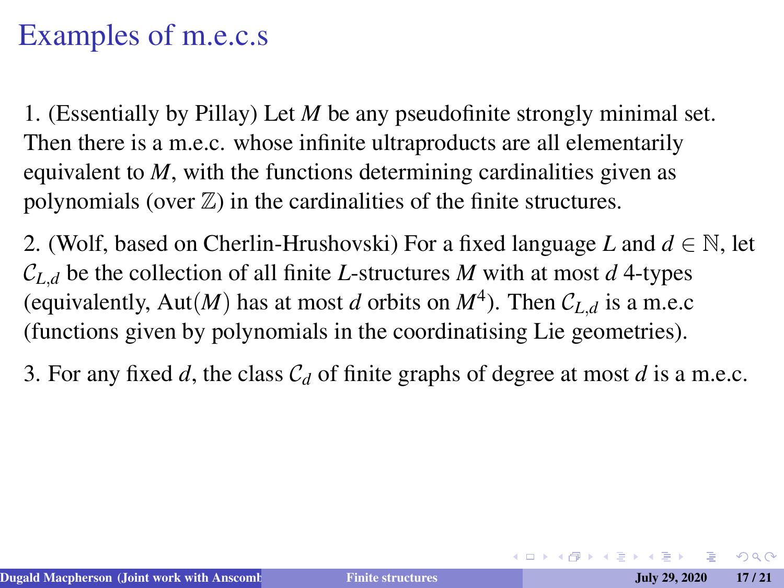1. (Essentially by Pillay) Let *M* be any pseudofinite strongly minimal set. Then there is a m.e.c. whose infinite ultraproducts are all elementarily equivalent to *M*, with the functions determining cardinalities given as polynomials (over  $\mathbb{Z}$ ) in the cardinalities of the finite structures.

2. (Wolf, based on Cherlin-Hrushovski) For a fixed language *L* and  $d \in \mathbb{N}$ , let  $C_{L,d}$  be the collection of all finite *L*-structures *M* with at most *d* 4-types (equivalently, Aut $(M)$  has at most *d* orbits on  $M<sup>4</sup>$ ). Then  $\mathcal{C}_{L,d}$  is a m.e.c (functions given by polynomials in the coordinatising Lie geometries).

3. For any fixed *d*, the class C*<sup>d</sup>* of finite graphs of degree at most *d* is a m.e.c.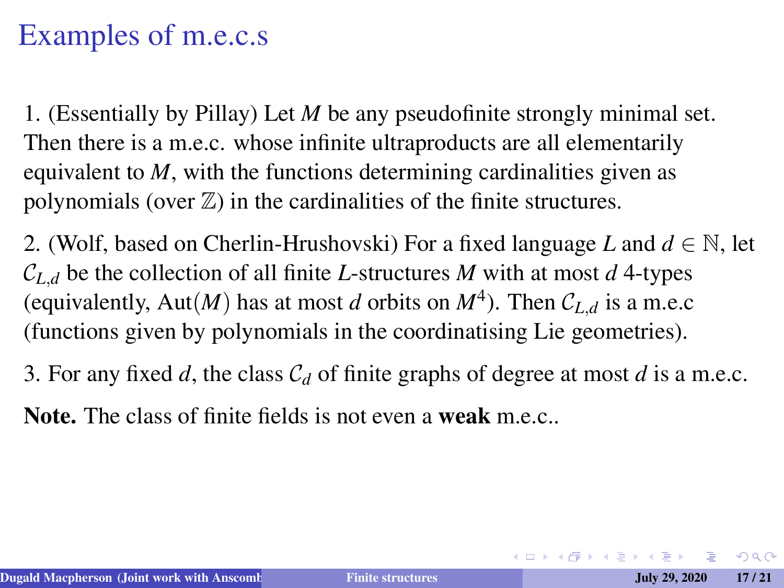1. (Essentially by Pillay) Let *M* be any pseudofinite strongly minimal set. Then there is a m.e.c. whose infinite ultraproducts are all elementarily equivalent to *M*, with the functions determining cardinalities given as polynomials (over  $\mathbb{Z}$ ) in the cardinalities of the finite structures.

2. (Wolf, based on Cherlin-Hrushovski) For a fixed language *L* and  $d \in \mathbb{N}$ , let  $C_{L,d}$  be the collection of all finite *L*-structures *M* with at most *d* 4-types (equivalently, Aut $(M)$  has at most *d* orbits on  $M<sup>4</sup>$ ). Then  $\mathcal{C}_{L,d}$  is a m.e.c (functions given by polynomials in the coordinatising Lie geometries).

3. For any fixed *d*, the class C*<sup>d</sup>* of finite graphs of degree at most *d* is a m.e.c.

**Note.** The class of finite fields is not even a **weak** m.e.c...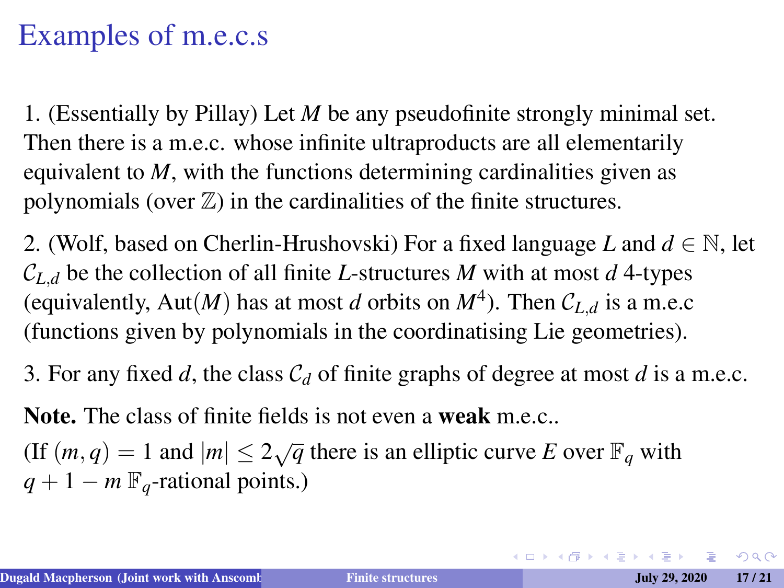1. (Essentially by Pillay) Let *M* be any pseudofinite strongly minimal set. Then there is a m.e.c. whose infinite ultraproducts are all elementarily equivalent to *M*, with the functions determining cardinalities given as polynomials (over  $\mathbb{Z}$ ) in the cardinalities of the finite structures.

2. (Wolf, based on Cherlin-Hrushovski) For a fixed language *L* and  $d \in \mathbb{N}$ , let  $C_{L,d}$  be the collection of all finite *L*-structures *M* with at most *d* 4-types (equivalently, Aut $(M)$  has at most *d* orbits on  $M<sup>4</sup>$ ). Then  $\mathcal{C}_{L,d}$  is a m.e.c (functions given by polynomials in the coordinatising Lie geometries).

3. For any fixed *d*, the class C*<sup>d</sup>* of finite graphs of degree at most *d* is a m.e.c.

Note. The class of finite fields is not even a weak m.e.c..

(If  $(m, q) = 1$  and  $|m| \leq 2\sqrt{q}$  there is an elliptic curve *E* over  $\mathbb{F}_q$  with  $q + 1 - m \mathbb{F}_q$ -rational points.)

 $QQ$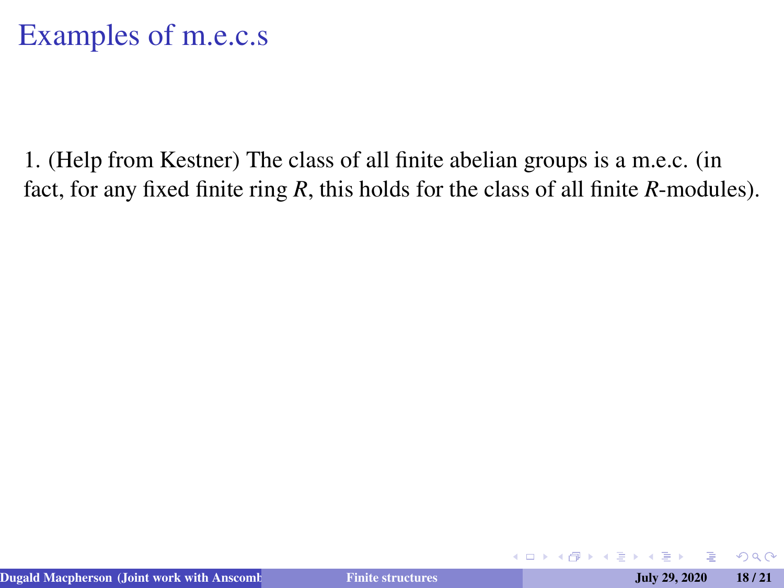1. (Help from Kestner) The class of all finite abelian groups is a m.e.c. (in fact, for any fixed finite ring *R*, this holds for the class of all finite *R*-modules).

4 0 8 4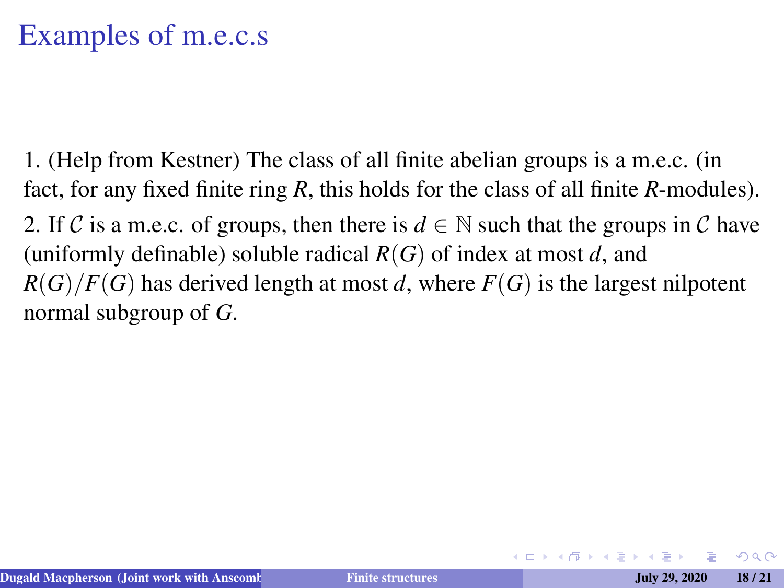1. (Help from Kestner) The class of all finite abelian groups is a m.e.c. (in fact, for any fixed finite ring *R*, this holds for the class of all finite *R*-modules). 2. If C is a m.e.c. of groups, then there is  $d \in \mathbb{N}$  such that the groups in C have (uniformly definable) soluble radical *R*(*G*) of index at most *d*, and  $R(G)/F(G)$  has derived length at most *d*, where  $F(G)$  is the largest nilpotent normal subgroup of *G*.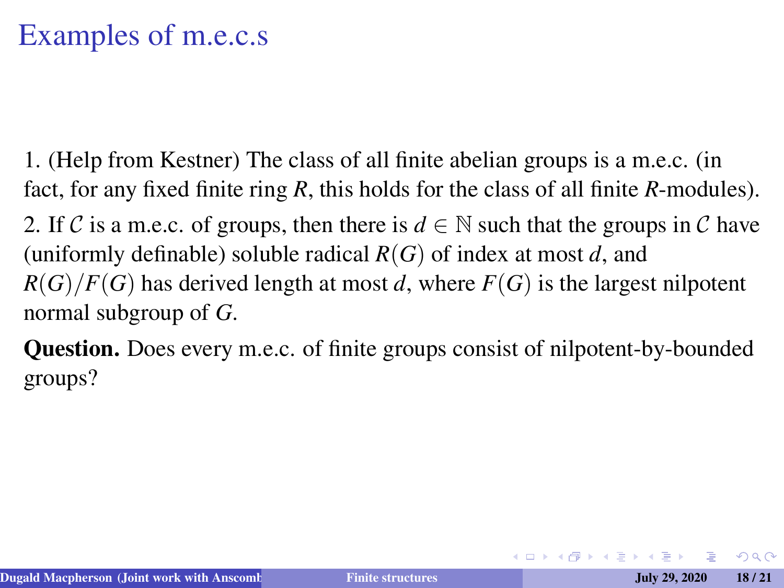1. (Help from Kestner) The class of all finite abelian groups is a m.e.c. (in fact, for any fixed finite ring *R*, this holds for the class of all finite *R*-modules).

2. If C is a m.e.c. of groups, then there is  $d \in \mathbb{N}$  such that the groups in C have (uniformly definable) soluble radical *R*(*G*) of index at most *d*, and  $R(G)/F(G)$  has derived length at most *d*, where  $F(G)$  is the largest nilpotent normal subgroup of *G*.

Question. Does every m.e.c. of finite groups consist of nilpotent-by-bounded groups?

 $\Omega$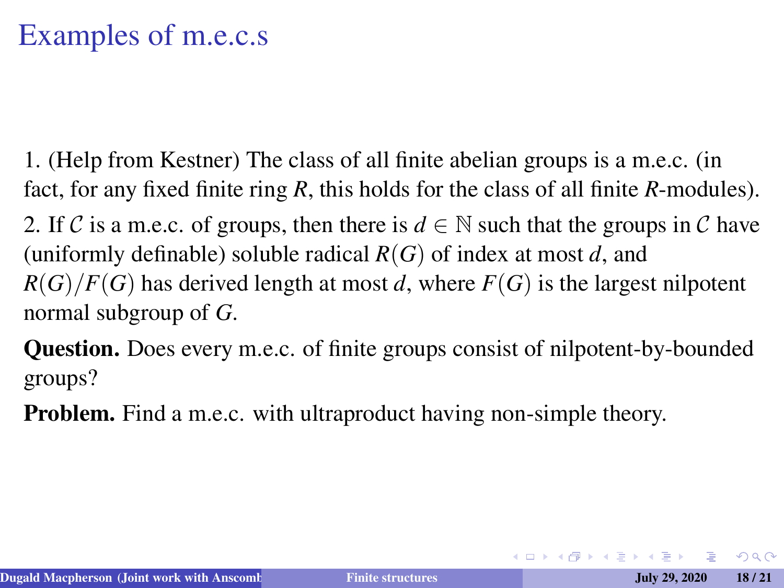1. (Help from Kestner) The class of all finite abelian groups is a m.e.c. (in fact, for any fixed finite ring *R*, this holds for the class of all finite *R*-modules).

2. If C is a m.e.c. of groups, then there is  $d \in \mathbb{N}$  such that the groups in C have (uniformly definable) soluble radical *R*(*G*) of index at most *d*, and  $R(G)/F(G)$  has derived length at most *d*, where  $F(G)$  is the largest nilpotent normal subgroup of *G*.

Question. Does every m.e.c. of finite groups consist of nilpotent-by-bounded groups?

Problem. Find a m.e.c. with ultraproduct having non-simple theory.

 $\Omega$ 

イロト (何) イヨト (ヨ)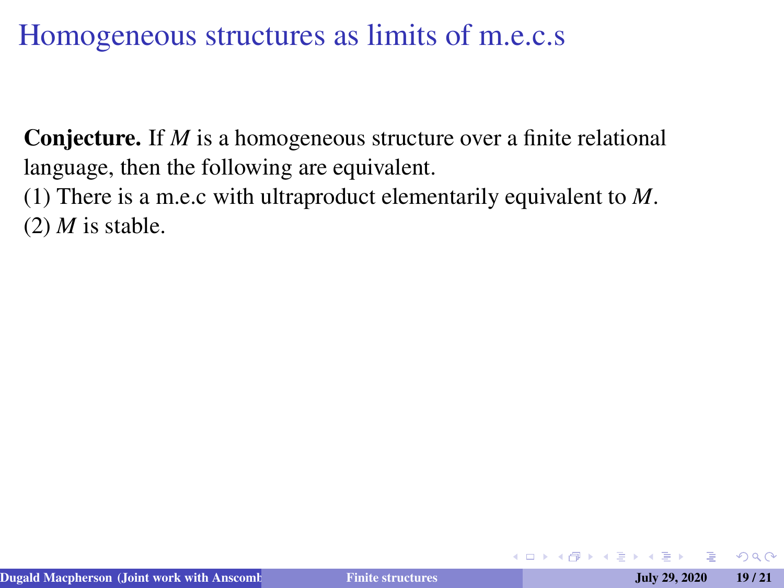Conjecture. If *M* is a homogeneous structure over a finite relational language, then the following are equivalent.

(1) There is a m.e.c with ultraproduct elementarily equivalent to *M*.  $(2)$  *M* is stable.

つくい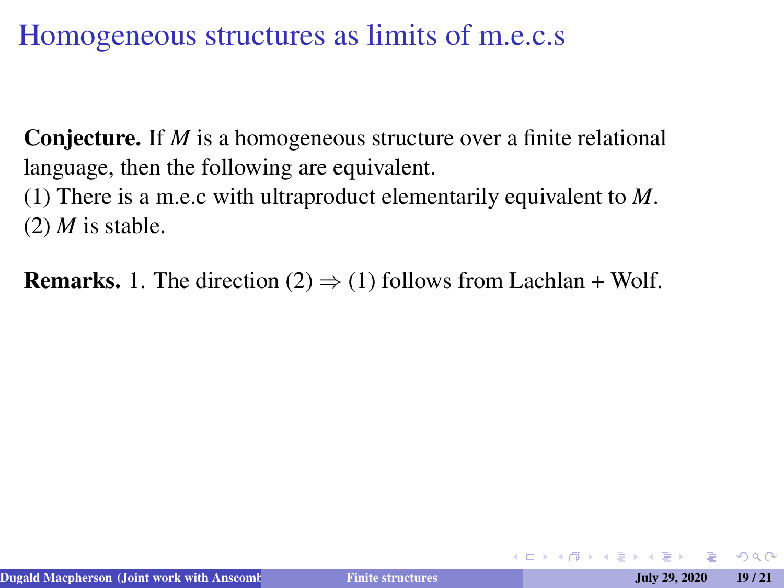Conjecture. If *M* is a homogeneous structure over a finite relational language, then the following are equivalent.

(1) There is a m.e.c with ultraproduct elementarily equivalent to *M*.  $(2)$  *M* is stable.

**Remarks.** 1. The direction (2)  $\Rightarrow$  (1) follows from Lachlan + Wolf.

 $\Omega$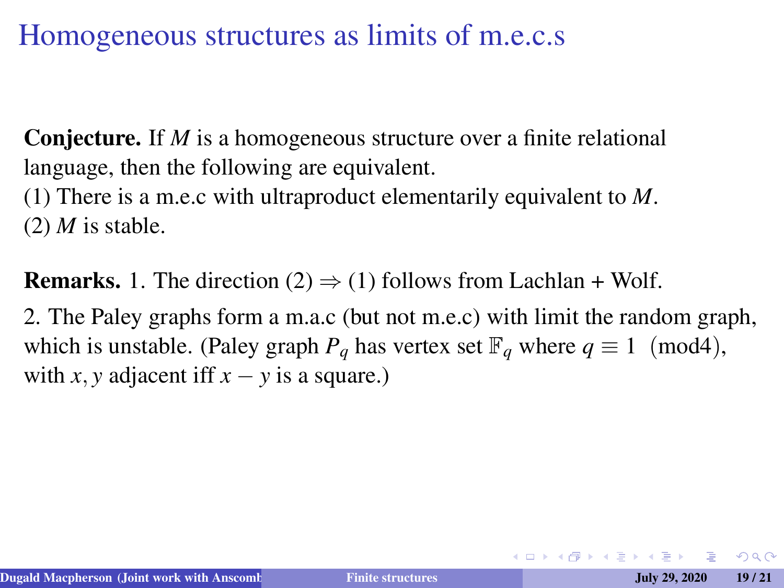**Conjecture.** If *M* is a homogeneous structure over a finite relational language, then the following are equivalent.

(1) There is a m.e.c with ultraproduct elementarily equivalent to *M*.  $(2)$  *M* is stable.

**Remarks.** 1. The direction (2)  $\Rightarrow$  (1) follows from Lachlan + Wolf.

2. The Paley graphs form a m.a.c (but not m.e.c) with limit the random graph, which is unstable. (Paley graph  $P_q$  has vertex set  $\mathbb{F}_q$  where  $q \equiv 1 \pmod{4}$ , with *x*, *y* adjacent iff  $x - y$  is a square.)

 $2Q$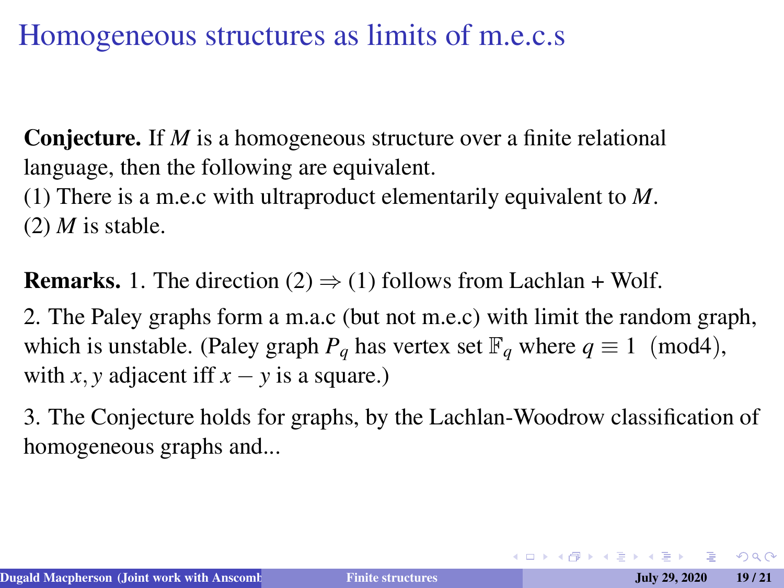Conjecture. If *M* is a homogeneous structure over a finite relational language, then the following are equivalent.

(1) There is a m.e.c with ultraproduct elementarily equivalent to *M*.  $(2)$  *M* is stable.

**Remarks.** 1. The direction (2)  $\Rightarrow$  (1) follows from Lachlan + Wolf.

2. The Paley graphs form a m.a.c (but not m.e.c) with limit the random graph, which is unstable. (Paley graph  $P_q$  has vertex set  $\mathbb{F}_q$  where  $q \equiv 1 \pmod{4}$ , with *x*, *y* adjacent iff  $x - y$  is a square.)

3. The Conjecture holds for graphs, by the Lachlan-Woodrow classification of homogeneous graphs and...

 $OQ$ 

 $\mathbf{A} \equiv \mathbf{A} + \mathbf{A} + \mathbf{B} + \mathbf{A} + \mathbf{B} + \mathbf{A} + \mathbf{B} + \mathbf{A} + \mathbf{B} + \mathbf{A} + \mathbf{B} + \mathbf{A} + \mathbf{B} + \mathbf{A} + \mathbf{B} + \mathbf{A} + \mathbf{B} + \mathbf{A} + \mathbf{B} + \mathbf{A} + \mathbf{B} + \mathbf{A} + \mathbf{B} + \mathbf{A} + \mathbf{B} + \mathbf{A} + \mathbf{B} + \mathbf{A} + \mathbf{B} + \mathbf{A} + \math$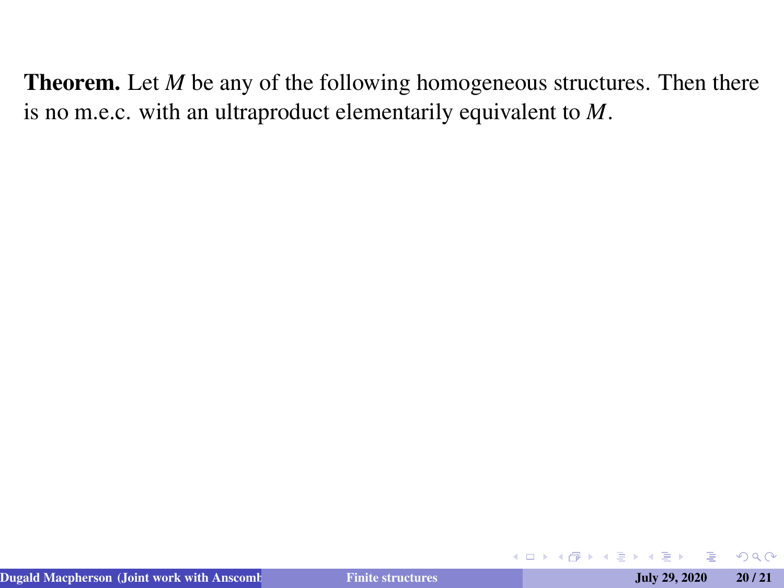$QQ$ 

**← ロ → → 伊** 

 $\triangleright$  4  $\equiv$   $\triangleright$  4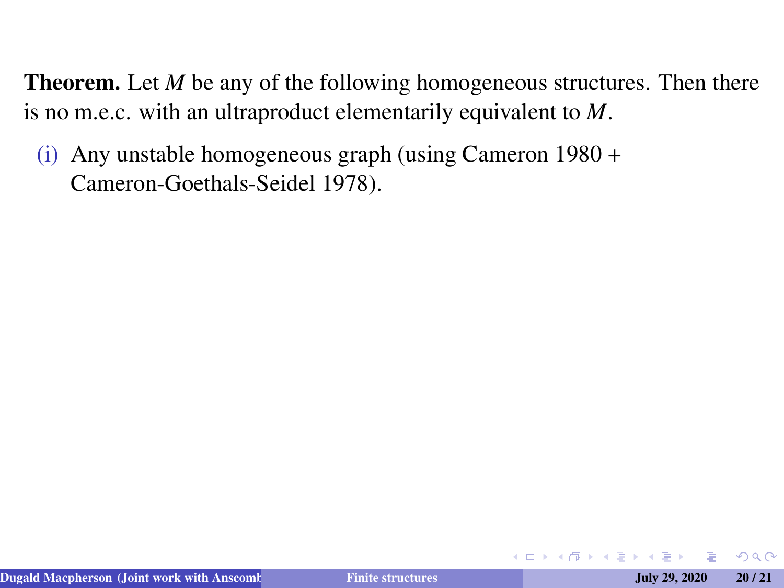(i) Any unstable homogeneous graph (using Cameron 1980 + Cameron-Goethals-Seidel 1978).

**∢ □ ▶ ⊣ @** 

 $\Omega$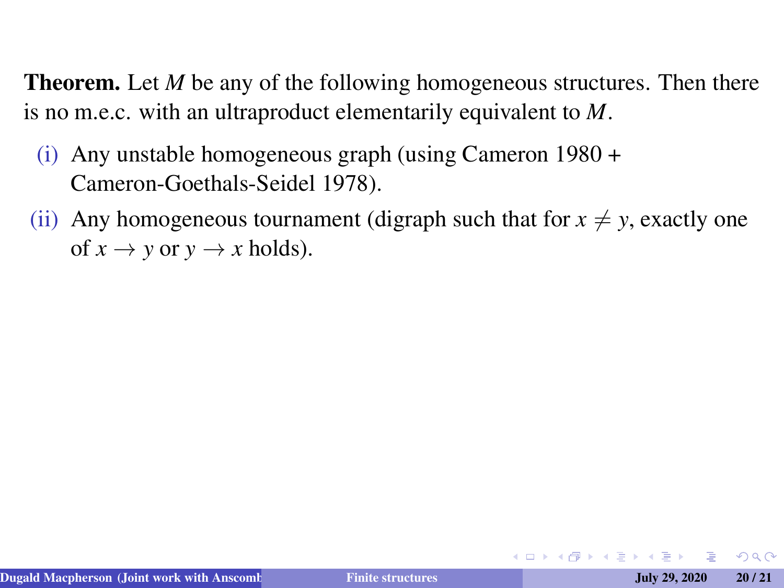- (i) Any unstable homogeneous graph (using Cameron 1980 + Cameron-Goethals-Seidel 1978).
- (ii) Any homogeneous tournament (digraph such that for  $x \neq y$ , exactly one of  $x \to y$  or  $y \to x$  holds).

 $2Q$ 

キロメ 不得 トイヨ トイヨメ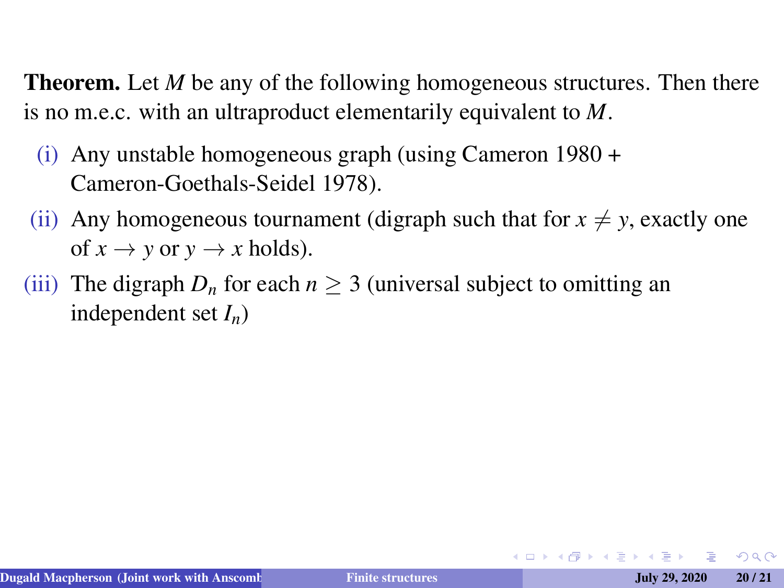- (i) Any unstable homogeneous graph (using Cameron 1980 + Cameron-Goethals-Seidel 1978).
- (ii) Any homogeneous tournament (digraph such that for  $x \neq y$ , exactly one of  $x \to y$  or  $y \to x$  holds).
- (iii) The digraph  $D_n$  for each  $n \geq 3$  (universal subject to omitting an independent set *In*)

 $2Q$ 

イロト (何) イヨト (ヨ)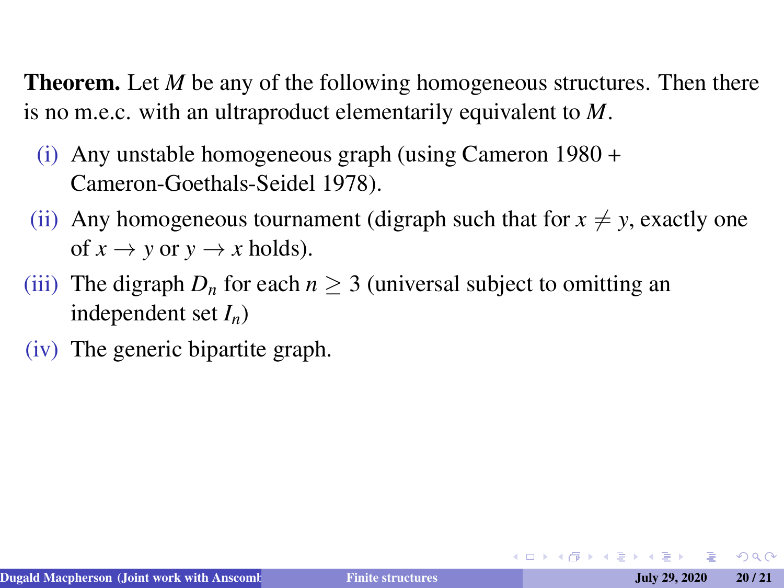- (i) Any unstable homogeneous graph (using Cameron 1980 + Cameron-Goethals-Seidel 1978).
- (ii) Any homogeneous tournament (digraph such that for  $x \neq y$ , exactly one of  $x \to y$  or  $y \to x$  holds).
- (iii) The digraph  $D_n$  for each  $n \geq 3$  (universal subject to omitting an independent set *In*)
- (iv) The generic bipartite graph.

 $QQ$ 

イロト (何) イヨト (ヨ)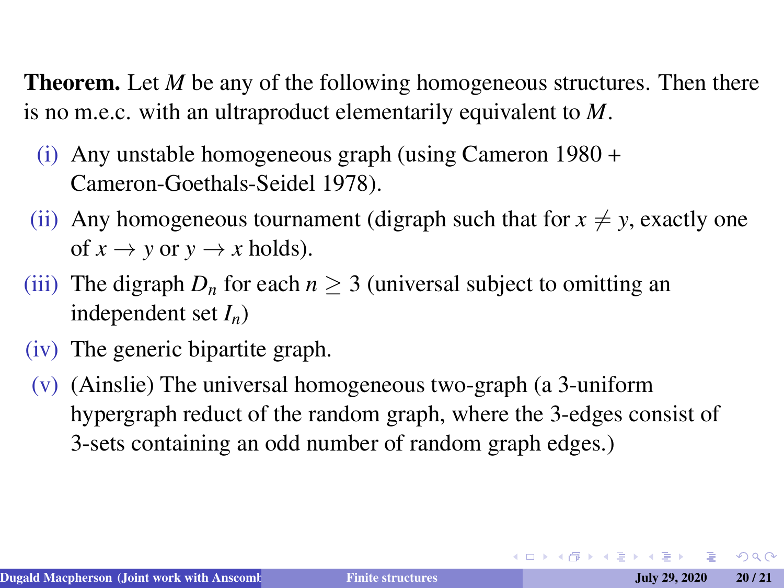- (i) Any unstable homogeneous graph (using Cameron 1980 + Cameron-Goethals-Seidel 1978).
- (ii) Any homogeneous tournament (digraph such that for  $x \neq y$ , exactly one of  $x \to y$  or  $y \to x$  holds).
- (iii) The digraph  $D_n$  for each  $n \geq 3$  (universal subject to omitting an independent set *In*)
- (iv) The generic bipartite graph.
- (v) (Ainslie) The universal homogeneous two-graph (a 3-uniform hypergraph reduct of the random graph, where the 3-edges consist of 3-sets containing an odd number of random graph edges.)

 $QQ$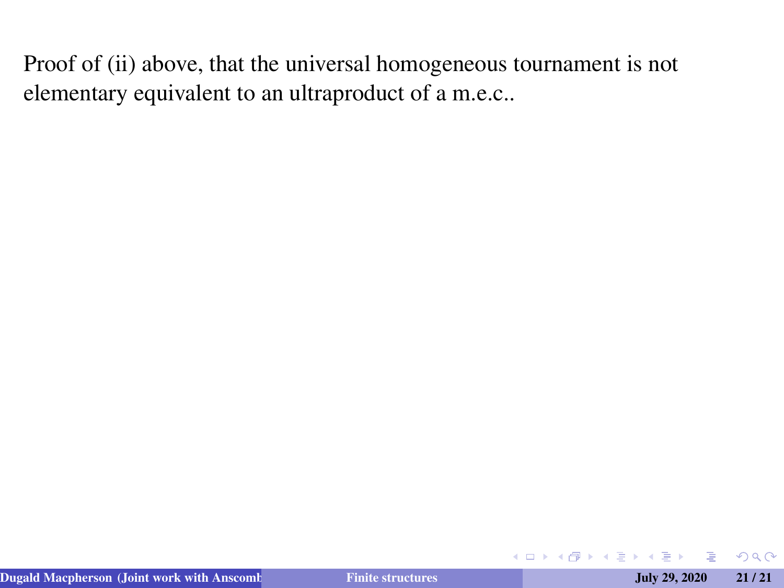イロトス 伊 トス ミトス 手

 $299$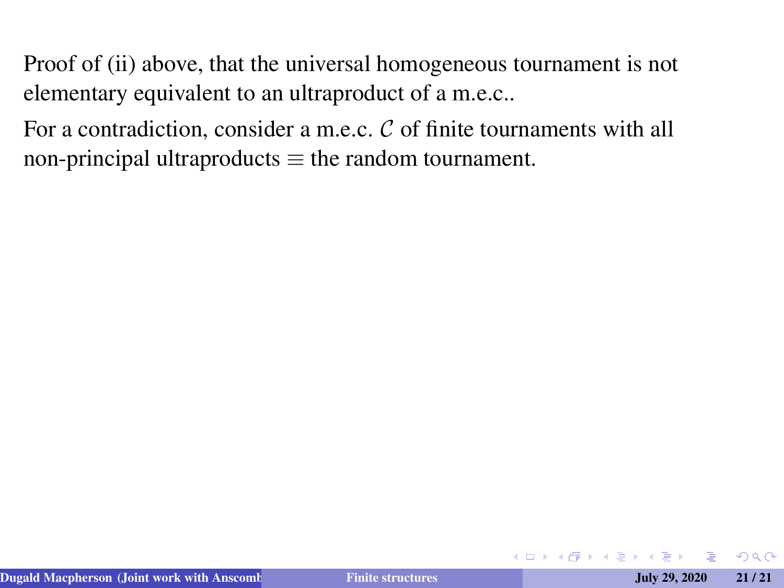For a contradiction, consider a m.e.c.  $C$  of finite tournaments with all non-principal ultraproducts  $\equiv$  the random tournament.

 $2Q$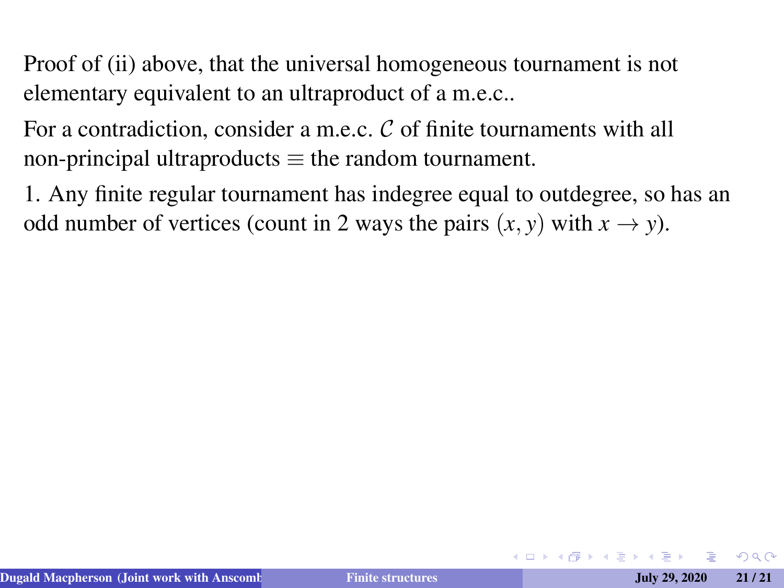For a contradiction, consider a m.e.c. C of finite tournaments with all non-principal ultraproducts  $\equiv$  the random tournament.

1. Any finite regular tournament has indegree equal to outdegree, so has an odd number of vertices (count in 2 ways the pairs  $(x, y)$  with  $x \to y$ ).

 $QQ$ 

イロト (何) イヨト (ヨ)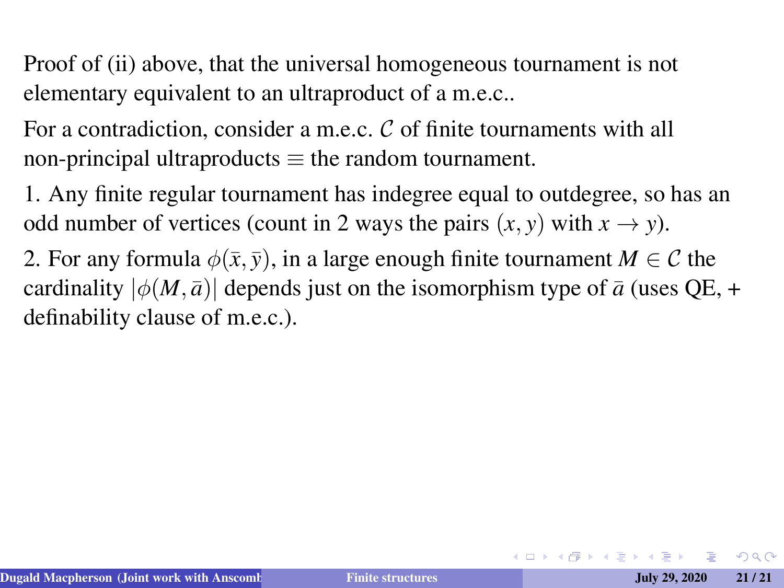For a contradiction, consider a m.e.c. C of finite tournaments with all non-principal ultraproducts  $\equiv$  the random tournament.

1. Any finite regular tournament has indegree equal to outdegree, so has an odd number of vertices (count in 2 ways the pairs  $(x, y)$  with  $x \to y$ ).

2. For any formula  $\phi(\bar{x}, \bar{y})$ , in a large enough finite tournament  $M \in \mathcal{C}$  the cardinality  $|\phi(M,\bar{a})|$  depends just on the isomorphism type of  $\bar{a}$  (uses QE, + definability clause of m.e.c.).

 $2Q$ 

イロメイタメイヨメイヨメーヨ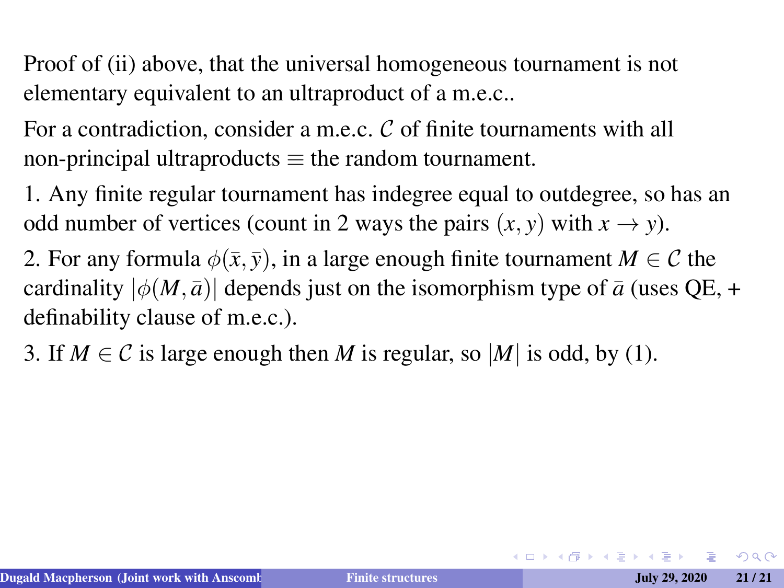For a contradiction, consider a m.e.c. C of finite tournaments with all non-principal ultraproducts  $\equiv$  the random tournament.

1. Any finite regular tournament has indegree equal to outdegree, so has an odd number of vertices (count in 2 ways the pairs  $(x, y)$  with  $x \to y$ ).

2. For any formula  $\phi(\bar{x}, \bar{y})$ , in a large enough finite tournament  $M \in \mathcal{C}$  the cardinality  $|\phi(M,\bar{a})|$  depends just on the isomorphism type of  $\bar{a}$  (uses QE, + definability clause of m.e.c.).

3. If  $M \in \mathcal{C}$  is large enough then *M* is regular, so |*M*| is odd, by (1).

 $2Q$ 

 $\mathbf{A} \equiv \mathbf{A} + \mathbf{A} + \mathbf{B} + \mathbf{A} + \mathbf{B} + \mathbf{A} + \mathbf{B} + \mathbf{A} + \mathbf{B} + \mathbf{A} + \mathbf{B} + \mathbf{A} + \mathbf{B} + \mathbf{A} + \mathbf{B} + \mathbf{A} + \mathbf{B} + \mathbf{A} + \mathbf{B} + \mathbf{A} + \mathbf{B} + \mathbf{A} + \mathbf{B} + \mathbf{A} + \mathbf{B} + \mathbf{A} + \mathbf{B} + \mathbf{A} + \mathbf{B} + \mathbf{A} + \math$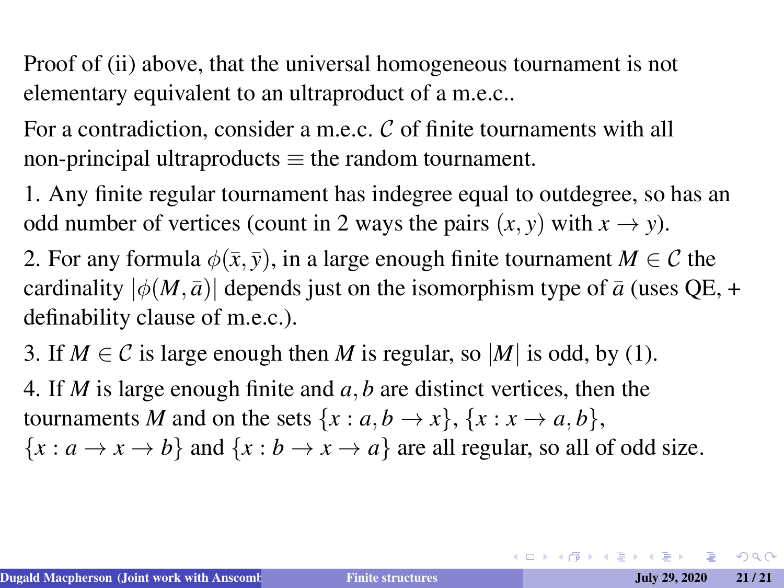For a contradiction, consider a m.e.c. C of finite tournaments with all non-principal ultraproducts  $\equiv$  the random tournament.

1. Any finite regular tournament has indegree equal to outdegree, so has an odd number of vertices (count in 2 ways the pairs  $(x, y)$  with  $x \to y$ ).

2. For any formula  $\phi(\bar{x}, \bar{y})$ , in a large enough finite tournament  $M \in \mathcal{C}$  the cardinality  $|\phi(M,\bar{a})|$  depends just on the isomorphism type of  $\bar{a}$  (uses QE, + definability clause of m.e.c.).

3. If  $M \in \mathcal{C}$  is large enough then M is regular, so  $|M|$  is odd, by (1).

4. If *M* is large enough finite and *a*, *b* are distinct vertices, then the tournaments *M* and on the sets  $\{x : a, b \rightarrow x\}$ ,  $\{x : x \rightarrow a, b\}$ ,  ${x : a \rightarrow x \rightarrow b}$  and  ${x : b \rightarrow x \rightarrow a}$  are all regular, so all of odd size.

**KOD KAD KED KED E VAN**